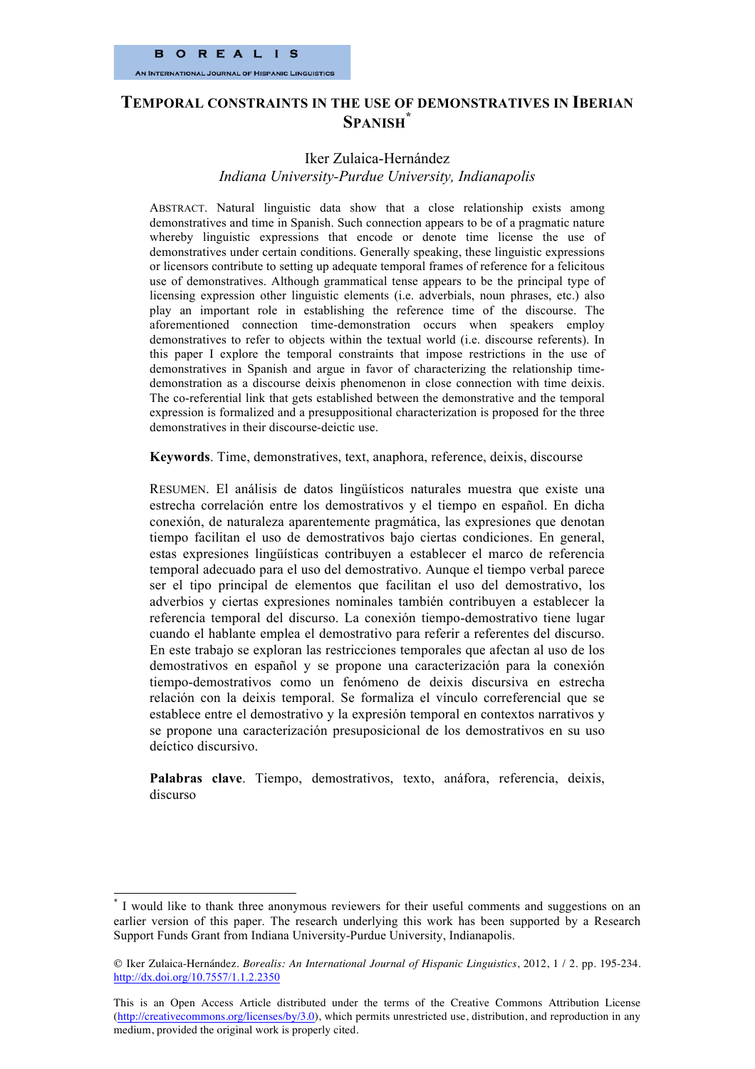# **TEMPORAL CONSTRAINTS IN THE USE OF DEMONSTRATIVES IN IBERIAN SPANISH\***

# Iker Zulaica-Hernández *Indiana University-Purdue University, Indianapolis*

ABSTRACT. Natural linguistic data show that a close relationship exists among demonstratives and time in Spanish. Such connection appears to be of a pragmatic nature whereby linguistic expressions that encode or denote time license the use of demonstratives under certain conditions. Generally speaking, these linguistic expressions or licensors contribute to setting up adequate temporal frames of reference for a felicitous use of demonstratives. Although grammatical tense appears to be the principal type of licensing expression other linguistic elements (i.e. adverbials, noun phrases, etc.) also play an important role in establishing the reference time of the discourse. The aforementioned connection time-demonstration occurs when speakers employ demonstratives to refer to objects within the textual world (i.e. discourse referents). In this paper I explore the temporal constraints that impose restrictions in the use of demonstratives in Spanish and argue in favor of characterizing the relationship timedemonstration as a discourse deixis phenomenon in close connection with time deixis. The co-referential link that gets established between the demonstrative and the temporal expression is formalized and a presuppositional characterization is proposed for the three demonstratives in their discourse-deictic use.

**Keywords**. Time, demonstratives, text, anaphora, reference, deixis, discourse

RESUMEN. El análisis de datos lingüísticos naturales muestra que existe una estrecha correlación entre los demostrativos y el tiempo en español. En dicha conexión, de naturaleza aparentemente pragmática, las expresiones que denotan tiempo facilitan el uso de demostrativos bajo ciertas condiciones. En general, estas expresiones lingüísticas contribuyen a establecer el marco de referencia temporal adecuado para el uso del demostrativo. Aunque el tiempo verbal parece ser el tipo principal de elementos que facilitan el uso del demostrativo, los adverbios y ciertas expresiones nominales también contribuyen a establecer la referencia temporal del discurso. La conexión tiempo-demostrativo tiene lugar cuando el hablante emplea el demostrativo para referir a referentes del discurso. En este trabajo se exploran las restricciones temporales que afectan al uso de los demostrativos en español y se propone una caracterización para la conexión tiempo-demostrativos como un fenómeno de deixis discursiva en estrecha relación con la deixis temporal. Se formaliza el vínculo correferencial que se establece entre el demostrativo y la expresión temporal en contextos narrativos y se propone una caracterización presuposicional de los demostrativos en su uso deíctico discursivo.

**Palabras clave**. Tiempo, demostrativos, texto, anáfora, referencia, deixis, discurso

 <sup>\*</sup> I would like to thank three anonymous reviewers for their useful comments and suggestions on an earlier version of this paper. The research underlying this work has been supported by a Research Support Funds Grant from Indiana University-Purdue University, Indianapolis.

Iker Zulaica-Hernández. *Borealis: An International Journal of Hispanic Linguistics*, 2012, 1 / 2. pp. 195-234. http://dx.doi.org/10.7557/1.1.2.2350

This is an Open Access Article distributed under the terms of the Creative Commons Attribution License (http://creativecommons.org/licenses/by/3.0), which permits unrestricted use, distribution, and reproduction in any medium, provided the original work is properly cited.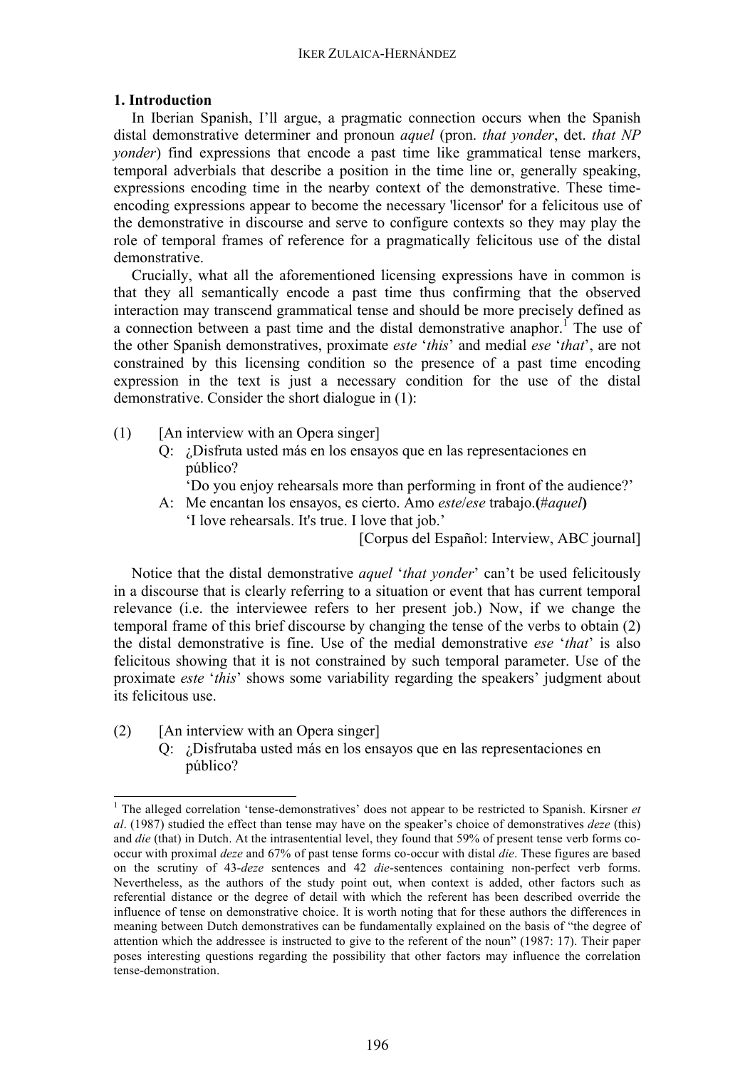# **1. Introduction**

In Iberian Spanish, I'll argue, a pragmatic connection occurs when the Spanish distal demonstrative determiner and pronoun *aquel* (pron. *that yonder*, det. *that NP yonder*) find expressions that encode a past time like grammatical tense markers, temporal adverbials that describe a position in the time line or, generally speaking, expressions encoding time in the nearby context of the demonstrative. These timeencoding expressions appear to become the necessary 'licensor' for a felicitous use of the demonstrative in discourse and serve to configure contexts so they may play the role of temporal frames of reference for a pragmatically felicitous use of the distal demonstrative.

Crucially, what all the aforementioned licensing expressions have in common is that they all semantically encode a past time thus confirming that the observed interaction may transcend grammatical tense and should be more precisely defined as a connection between a past time and the distal demonstrative anaphor.<sup>1</sup> The use of the other Spanish demonstratives, proximate *este* '*this*' and medial *ese* '*that*', are not constrained by this licensing condition so the presence of a past time encoding expression in the text is just a necessary condition for the use of the distal demonstrative. Consider the short dialogue in (1):

- (1) [An interview with an Opera singer]
	- Q: ¿Disfruta usted más en los ensayos que en las representaciones en público?

'Do you enjoy rehearsals more than performing in front of the audience?'

A: Me encantan los ensayos, es cierto. Amo *este*/*ese* trabajo.**(**#*aquel***)** 'I love rehearsals. It's true. I love that job.'

[Corpus del Español: Interview, ABC journal]

Notice that the distal demonstrative *aquel* '*that yonder*' can't be used felicitously in a discourse that is clearly referring to a situation or event that has current temporal relevance (i.e. the interviewee refers to her present job.) Now, if we change the temporal frame of this brief discourse by changing the tense of the verbs to obtain (2) the distal demonstrative is fine. Use of the medial demonstrative *ese* '*that*' is also felicitous showing that it is not constrained by such temporal parameter. Use of the proximate *este* '*this*' shows some variability regarding the speakers' judgment about its felicitous use.

(2) [An interview with an Opera singer] Q: ¿Disfrutaba usted más en los ensayos que en las representaciones en público?

<sup>&</sup>lt;sup>1</sup> The alleged correlation 'tense-demonstratives' does not appear to be restricted to Spanish. Kirsner *et al*. (1987) studied the effect than tense may have on the speaker's choice of demonstratives *deze* (this) and *die* (that) in Dutch. At the intrasentential level, they found that 59% of present tense verb forms cooccur with proximal *deze* and 67% of past tense forms co-occur with distal *die*. These figures are based on the scrutiny of 43-*deze* sentences and 42 *die*-sentences containing non-perfect verb forms. Nevertheless, as the authors of the study point out, when context is added, other factors such as referential distance or the degree of detail with which the referent has been described override the influence of tense on demonstrative choice. It is worth noting that for these authors the differences in meaning between Dutch demonstratives can be fundamentally explained on the basis of "the degree of attention which the addressee is instructed to give to the referent of the noun" (1987: 17). Their paper poses interesting questions regarding the possibility that other factors may influence the correlation tense-demonstration.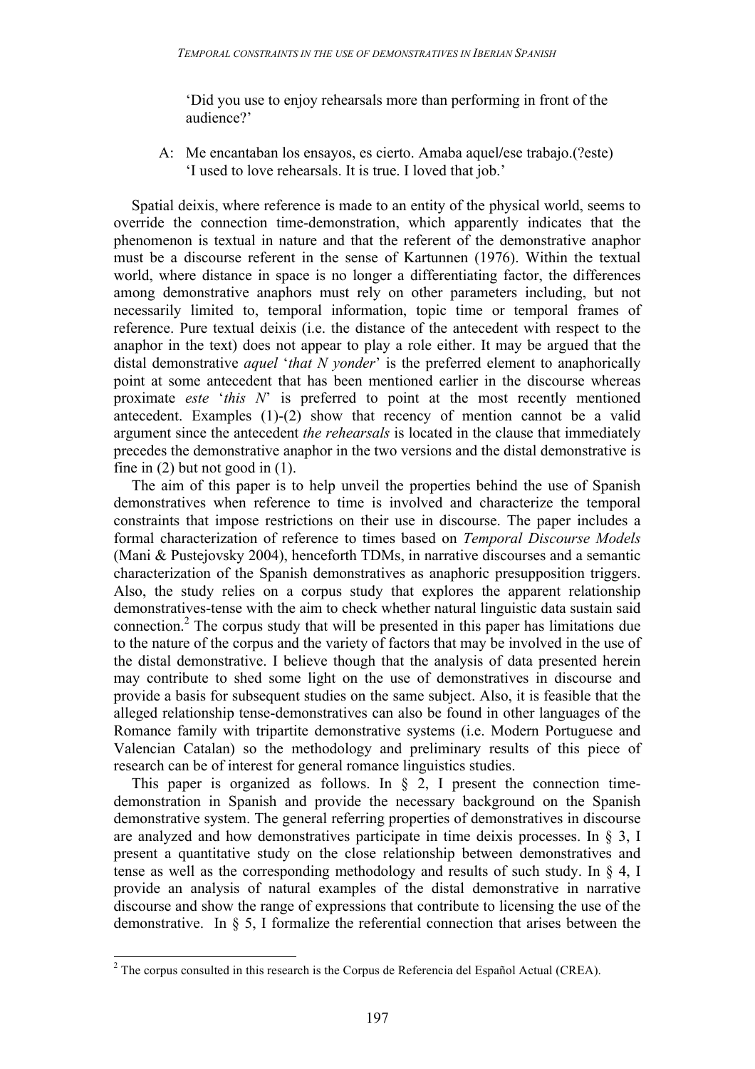'Did you use to enjoy rehearsals more than performing in front of the audience?'

A: Me encantaban los ensayos, es cierto. Amaba aquel**/**ese trabajo.(?este) 'I used to love rehearsals. It is true. I loved that job.'

Spatial deixis, where reference is made to an entity of the physical world, seems to override the connection time-demonstration, which apparently indicates that the phenomenon is textual in nature and that the referent of the demonstrative anaphor must be a discourse referent in the sense of Kartunnen (1976). Within the textual world, where distance in space is no longer a differentiating factor, the differences among demonstrative anaphors must rely on other parameters including, but not necessarily limited to, temporal information, topic time or temporal frames of reference. Pure textual deixis (i.e. the distance of the antecedent with respect to the anaphor in the text) does not appear to play a role either. It may be argued that the distal demonstrative *aquel* '*that N yonder*' is the preferred element to anaphorically point at some antecedent that has been mentioned earlier in the discourse whereas proximate *este* '*this N*' is preferred to point at the most recently mentioned antecedent. Examples (1)-(2) show that recency of mention cannot be a valid argument since the antecedent *the rehearsals* is located in the clause that immediately precedes the demonstrative anaphor in the two versions and the distal demonstrative is fine in  $(2)$  but not good in  $(1)$ .

The aim of this paper is to help unveil the properties behind the use of Spanish demonstratives when reference to time is involved and characterize the temporal constraints that impose restrictions on their use in discourse. The paper includes a formal characterization of reference to times based on *Temporal Discourse Models* (Mani & Pustejovsky 2004), henceforth TDMs, in narrative discourses and a semantic characterization of the Spanish demonstratives as anaphoric presupposition triggers. Also, the study relies on a corpus study that explores the apparent relationship demonstratives-tense with the aim to check whether natural linguistic data sustain said connection.<sup>2</sup> The corpus study that will be presented in this paper has limitations due to the nature of the corpus and the variety of factors that may be involved in the use of the distal demonstrative. I believe though that the analysis of data presented herein may contribute to shed some light on the use of demonstratives in discourse and provide a basis for subsequent studies on the same subject. Also, it is feasible that the alleged relationship tense-demonstratives can also be found in other languages of the Romance family with tripartite demonstrative systems (i.e. Modern Portuguese and Valencian Catalan) so the methodology and preliminary results of this piece of research can be of interest for general romance linguistics studies.

This paper is organized as follows. In  $\S$  2, I present the connection timedemonstration in Spanish and provide the necessary background on the Spanish demonstrative system. The general referring properties of demonstratives in discourse are analyzed and how demonstratives participate in time deixis processes. In § 3, I present a quantitative study on the close relationship between demonstratives and tense as well as the corresponding methodology and results of such study. In § 4, I provide an analysis of natural examples of the distal demonstrative in narrative discourse and show the range of expressions that contribute to licensing the use of the demonstrative. In § 5, I formalize the referential connection that arises between the

 $2$  The corpus consulted in this research is the Corpus de Referencia del Español Actual (CREA).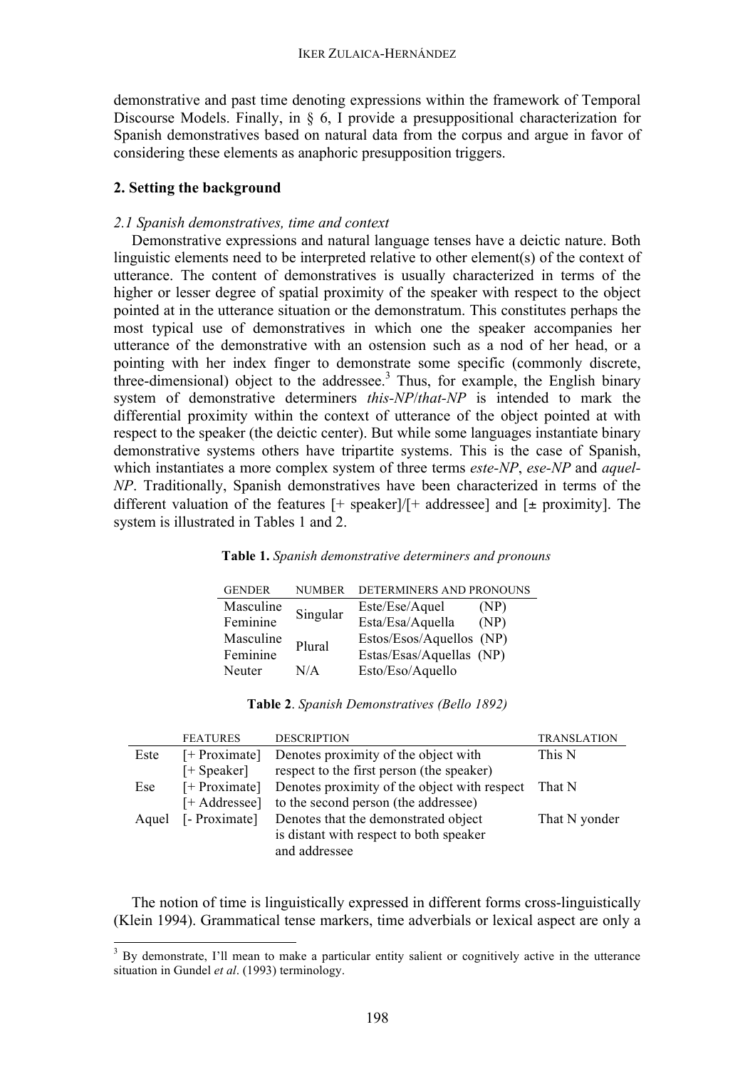demonstrative and past time denoting expressions within the framework of Temporal Discourse Models. Finally, in § 6, I provide a presuppositional characterization for Spanish demonstratives based on natural data from the corpus and argue in favor of considering these elements as anaphoric presupposition triggers.

# **2. Setting the background**

# *2.1 Spanish demonstratives, time and context*

Demonstrative expressions and natural language tenses have a deictic nature. Both linguistic elements need to be interpreted relative to other element(s) of the context of utterance. The content of demonstratives is usually characterized in terms of the higher or lesser degree of spatial proximity of the speaker with respect to the object pointed at in the utterance situation or the demonstratum. This constitutes perhaps the most typical use of demonstratives in which one the speaker accompanies her utterance of the demonstrative with an ostension such as a nod of her head, or a pointing with her index finger to demonstrate some specific (commonly discrete, three-dimensional) object to the addressee. <sup>3</sup> Thus, for example, the English binary system of demonstrative determiners *this-NP*/*that-NP* is intended to mark the differential proximity within the context of utterance of the object pointed at with respect to the speaker (the deictic center). But while some languages instantiate binary demonstrative systems others have tripartite systems. This is the case of Spanish, which instantiates a more complex system of three terms *este-NP*, *ese-NP* and *aquel-NP*. Traditionally, Spanish demonstratives have been characterized in terms of the different valuation of the features  $[+$  speaker]/ $[+$  addressee] and  $[+$  proximity]. The system is illustrated in Tables 1 and 2.

### **Table 1.** *Spanish demonstrative determiners and pronouns*

| <b>GENDER</b> | <b>NUMBER</b> | DETERMINERS AND PRONOUNS |      |
|---------------|---------------|--------------------------|------|
| Masculine     |               | Este/Ese/Aquel           | (NP) |
| Feminine      | Singular      | Esta/Esa/Aquella         | (NP) |
| Masculine     | Plural        | Estos/Esos/Aquellos (NP) |      |
| Feminine      |               | Estas/Esas/Aquellas (NP) |      |
| Neuter        | N/A           | Esto/Eso/Aquello         |      |

|  |  | Table 2. Spanish Demonstratives (Bello 1892) |  |  |
|--|--|----------------------------------------------|--|--|
|--|--|----------------------------------------------|--|--|

|       | <b>FEATURES</b>      | <b>DESCRIPTION</b>                           | <b>TRANSLATION</b> |
|-------|----------------------|----------------------------------------------|--------------------|
| Este  | $[+$ Proximate]      | Denotes proximity of the object with         | This N             |
|       | $[+ \text{Speaker}]$ | respect to the first person (the speaker)    |                    |
| Ese   | $[+$ Proximate]      | Denotes proximity of the object with respect | That N             |
|       | [+ Addressee]        | to the second person (the addressee)         |                    |
| Aquel | [- Proximate]        | Denotes that the demonstrated object         | That N yonder      |
|       |                      | is distant with respect to both speaker      |                    |
|       |                      | and addressee                                |                    |

The notion of time is linguistically expressed in different forms cross-linguistically (Klein 1994). Grammatical tense markers, time adverbials or lexical aspect are only a

<sup>&</sup>lt;sup>3</sup> By demonstrate, I'll mean to make a particular entity salient or cognitively active in the utterance situation in Gundel *et al*. (1993) terminology.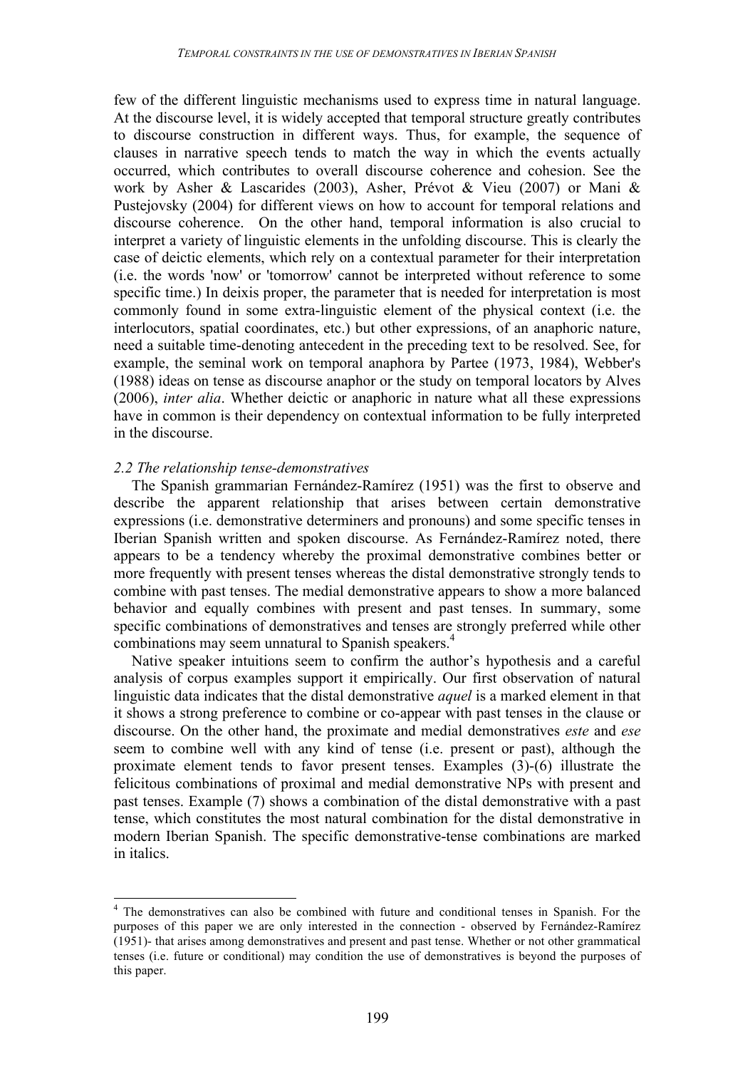few of the different linguistic mechanisms used to express time in natural language. At the discourse level, it is widely accepted that temporal structure greatly contributes to discourse construction in different ways. Thus, for example, the sequence of clauses in narrative speech tends to match the way in which the events actually occurred, which contributes to overall discourse coherence and cohesion. See the work by Asher & Lascarides (2003), Asher, Prévot & Vieu (2007) or Mani & Pustejovsky (2004) for different views on how to account for temporal relations and discourse coherence. On the other hand, temporal information is also crucial to interpret a variety of linguistic elements in the unfolding discourse. This is clearly the case of deictic elements, which rely on a contextual parameter for their interpretation (i.e. the words 'now' or 'tomorrow' cannot be interpreted without reference to some specific time.) In deixis proper, the parameter that is needed for interpretation is most commonly found in some extra-linguistic element of the physical context (i.e. the interlocutors, spatial coordinates, etc.) but other expressions, of an anaphoric nature, need a suitable time-denoting antecedent in the preceding text to be resolved. See, for example, the seminal work on temporal anaphora by Partee (1973, 1984), Webber's (1988) ideas on tense as discourse anaphor or the study on temporal locators by Alves (2006), *inter alia*. Whether deictic or anaphoric in nature what all these expressions have in common is their dependency on contextual information to be fully interpreted in the discourse.

# *2.2 The relationship tense-demonstratives*

The Spanish grammarian Fernández-Ramírez (1951) was the first to observe and describe the apparent relationship that arises between certain demonstrative expressions (i.e. demonstrative determiners and pronouns) and some specific tenses in Iberian Spanish written and spoken discourse. As Fernández-Ramírez noted, there appears to be a tendency whereby the proximal demonstrative combines better or more frequently with present tenses whereas the distal demonstrative strongly tends to combine with past tenses. The medial demonstrative appears to show a more balanced behavior and equally combines with present and past tenses. In summary, some specific combinations of demonstratives and tenses are strongly preferred while other combinations may seem unnatural to Spanish speakers.<sup>4</sup>

Native speaker intuitions seem to confirm the author's hypothesis and a careful analysis of corpus examples support it empirically. Our first observation of natural linguistic data indicates that the distal demonstrative *aquel* is a marked element in that it shows a strong preference to combine or co-appear with past tenses in the clause or discourse. On the other hand, the proximate and medial demonstratives *este* and *ese* seem to combine well with any kind of tense (i.e. present or past), although the proximate element tends to favor present tenses. Examples (3)-(6) illustrate the felicitous combinations of proximal and medial demonstrative NPs with present and past tenses. Example (7) shows a combination of the distal demonstrative with a past tense, which constitutes the most natural combination for the distal demonstrative in modern Iberian Spanish. The specific demonstrative-tense combinations are marked in italics.

<sup>&</sup>lt;sup>4</sup> The demonstratives can also be combined with future and conditional tenses in Spanish. For the purposes of this paper we are only interested in the connection - observed by Fernández-Ramírez (1951)- that arises among demonstratives and present and past tense. Whether or not other grammatical tenses (i.e. future or conditional) may condition the use of demonstratives is beyond the purposes of this paper.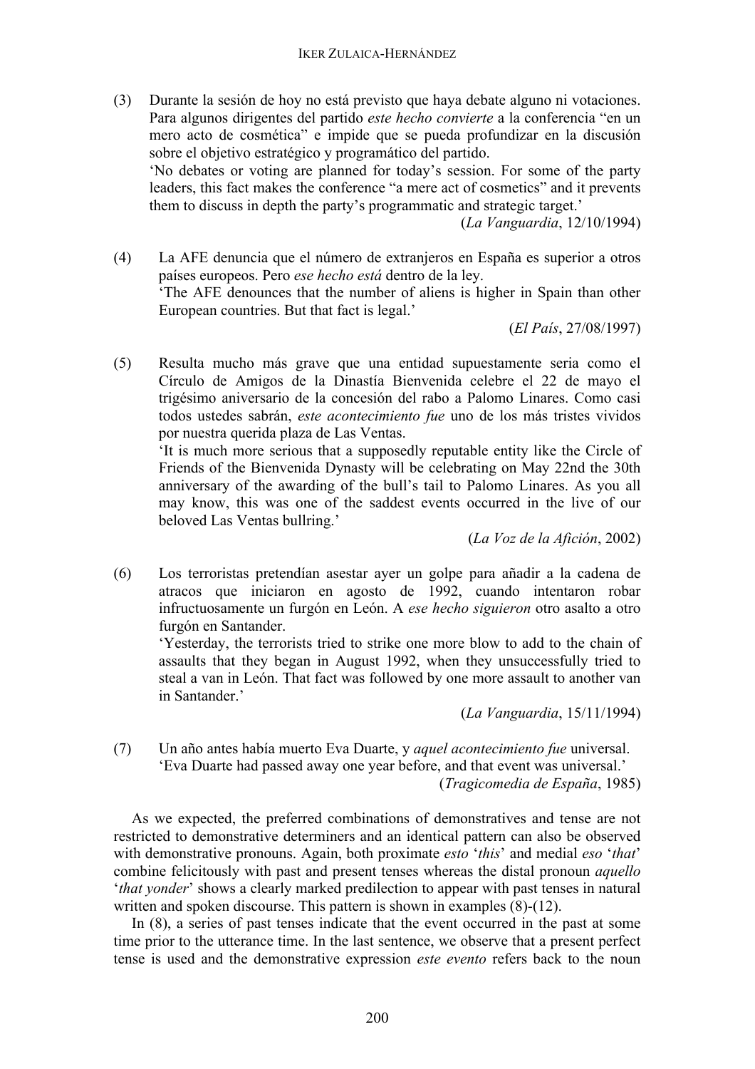(3) Durante la sesión de hoy no está previsto que haya debate alguno ni votaciones. Para algunos dirigentes del partido *este hecho convierte* a la conferencia "en un mero acto de cosmética" e impide que se pueda profundizar en la discusión sobre el objetivo estratégico y programático del partido.

'No debates or voting are planned for today's session. For some of the party leaders, this fact makes the conference "a mere act of cosmetics" and it prevents them to discuss in depth the party's programmatic and strategic target.'

(*La Vanguardia*, 12/10/1994)

(4) La AFE denuncia que el número de extranjeros en España es superior a otros países europeos. Pero *ese hecho está* dentro de la ley. 'The AFE denounces that the number of aliens is higher in Spain than other European countries. But that fact is legal.'

(*El País*, 27/08/1997)

(5) Resulta mucho más grave que una entidad supuestamente seria como el Círculo de Amigos de la Dinastía Bienvenida celebre el 22 de mayo el trigésimo aniversario de la concesión del rabo a Palomo Linares. Como casi todos ustedes sabrán, *este acontecimiento fue* uno de los más tristes vividos por nuestra querida plaza de Las Ventas.

'It is much more serious that a supposedly reputable entity like the Circle of Friends of the Bienvenida Dynasty will be celebrating on May 22nd the 30th anniversary of the awarding of the bull's tail to Palomo Linares. As you all may know, this was one of the saddest events occurred in the live of our beloved Las Ventas bullring.'

(*La Voz de la Afición*, 2002)

(6) Los terroristas pretendían asestar ayer un golpe para añadir a la cadena de atracos que iniciaron en agosto de 1992, cuando intentaron robar infructuosamente un furgón en León. A *ese hecho siguieron* otro asalto a otro furgón en Santander.

'Yesterday, the terrorists tried to strike one more blow to add to the chain of assaults that they began in August 1992, when they unsuccessfully tried to steal a van in León. That fact was followed by one more assault to another van in Santander<sup>,</sup>

(*La Vanguardia*, 15/11/1994)

(7) Un año antes había muerto Eva Duarte, y *aquel acontecimiento fue* universal. 'Eva Duarte had passed away one year before, and that event was universal.' (*Tragicomedia de España*, 1985)

As we expected, the preferred combinations of demonstratives and tense are not restricted to demonstrative determiners and an identical pattern can also be observed with demonstrative pronouns. Again, both proximate *esto* '*this*' and medial *eso* '*that*' combine felicitously with past and present tenses whereas the distal pronoun *aquello* '*that yonder*' shows a clearly marked predilection to appear with past tenses in natural written and spoken discourse. This pattern is shown in examples  $(8)$ - $(12)$ .

In (8), a series of past tenses indicate that the event occurred in the past at some time prior to the utterance time. In the last sentence, we observe that a present perfect tense is used and the demonstrative expression *este evento* refers back to the noun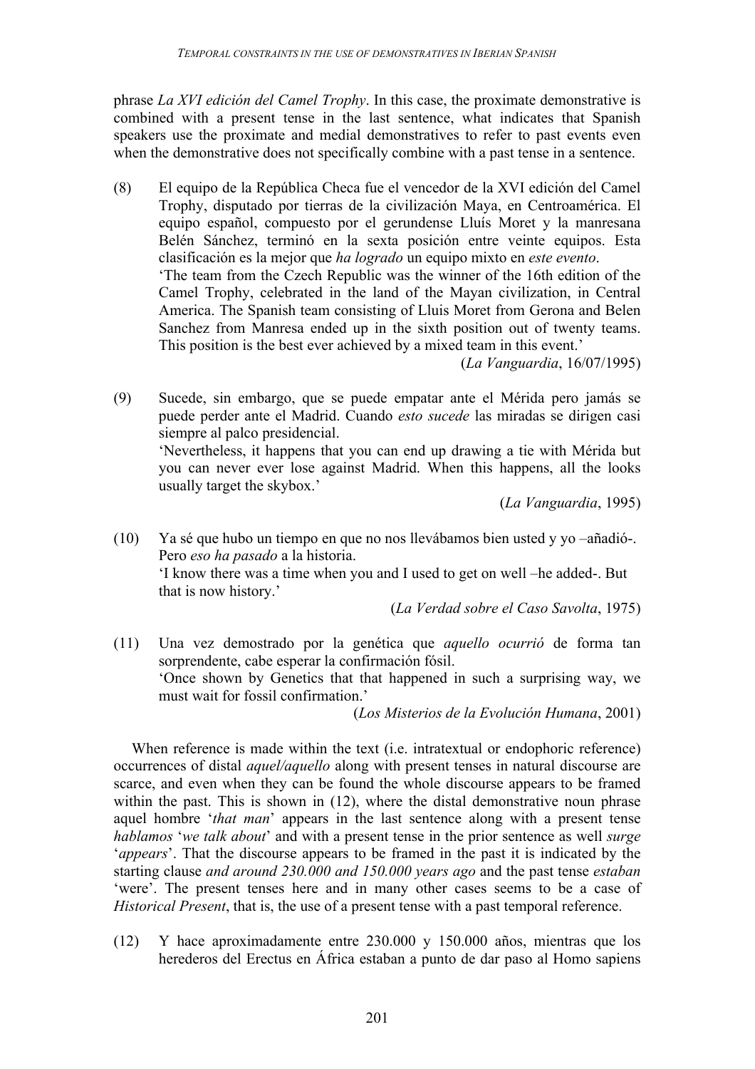phrase *La XVI edición del Camel Trophy*. In this case, the proximate demonstrative is combined with a present tense in the last sentence, what indicates that Spanish speakers use the proximate and medial demonstratives to refer to past events even when the demonstrative does not specifically combine with a past tense in a sentence.

(8) El equipo de la República Checa fue el vencedor de la XVI edición del Camel Trophy, disputado por tierras de la civilización Maya, en Centroamérica. El equipo español, compuesto por el gerundense Lluís Moret y la manresana Belén Sánchez, terminó en la sexta posición entre veinte equipos. Esta clasificación es la mejor que *ha logrado* un equipo mixto en *este evento*. 'The team from the Czech Republic was the winner of the 16th edition of the Camel Trophy, celebrated in the land of the Mayan civilization, in Central America. The Spanish team consisting of Lluis Moret from Gerona and Belen Sanchez from Manresa ended up in the sixth position out of twenty teams. This position is the best ever achieved by a mixed team in this event.'

(*La Vanguardia*, 16/07/1995)

(9) Sucede, sin embargo, que se puede empatar ante el Mérida pero jamás se puede perder ante el Madrid. Cuando *esto sucede* las miradas se dirigen casi siempre al palco presidencial.

'Nevertheless, it happens that you can end up drawing a tie with Mérida but you can never ever lose against Madrid. When this happens, all the looks usually target the skybox.'

(*La Vanguardia*, 1995)

(10) Ya sé que hubo un tiempo en que no nos llevábamos bien usted y yo –añadió-. Pero *eso ha pasado* a la historia. 'I know there was a time when you and I used to get on well –he added-. But that is now history.'

(*La Verdad sobre el Caso Savolta*, 1975)

(11) Una vez demostrado por la genética que *aquello ocurrió* de forma tan sorprendente, cabe esperar la confirmación fósil. 'Once shown by Genetics that that happened in such a surprising way, we must wait for fossil confirmation.'

(*Los Misterios de la Evolución Humana*, 2001)

When reference is made within the text *(i.e.* intratextual or endophoric reference) occurrences of distal *aquel/aquello* along with present tenses in natural discourse are scarce, and even when they can be found the whole discourse appears to be framed within the past. This is shown in (12), where the distal demonstrative noun phrase aquel hombre '*that man*' appears in the last sentence along with a present tense *hablamos* '*we talk about*' and with a present tense in the prior sentence as well *surge* '*appears*'. That the discourse appears to be framed in the past it is indicated by the starting clause *and around 230.000 and 150.000 years ago* and the past tense *estaban* 'were'. The present tenses here and in many other cases seems to be a case of *Historical Present*, that is, the use of a present tense with a past temporal reference.

(12) Y hace aproximadamente entre 230.000 y 150.000 años, mientras que los herederos del Erectus en África estaban a punto de dar paso al Homo sapiens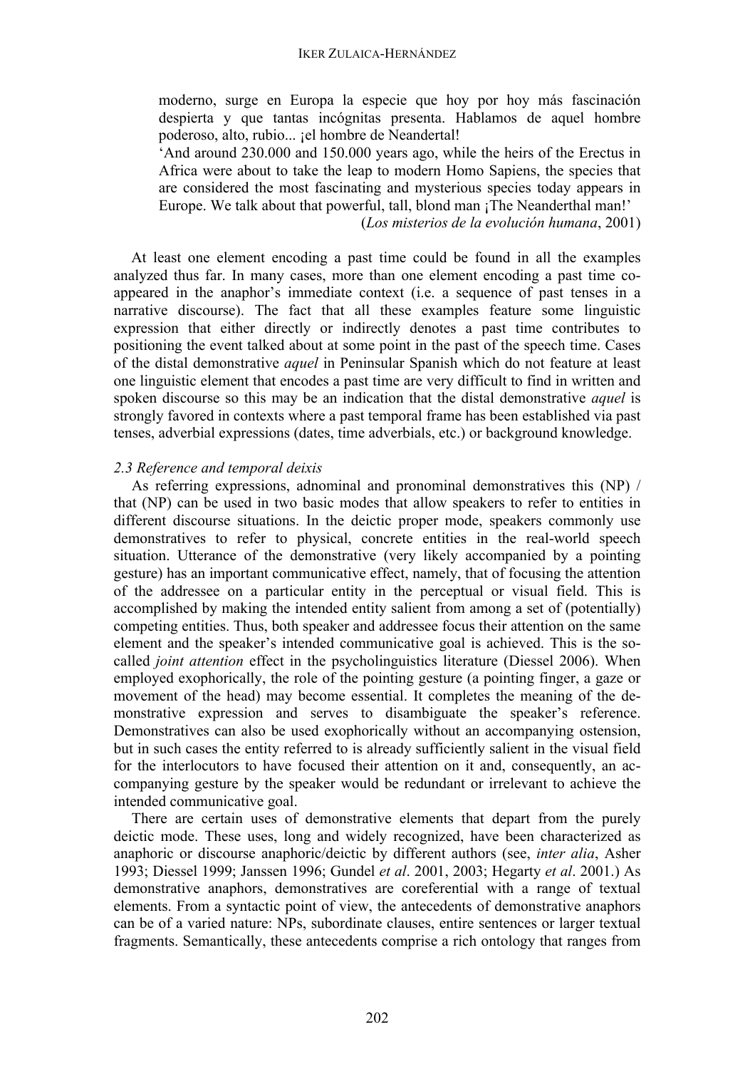moderno, surge en Europa la especie que hoy por hoy más fascinación despierta y que tantas incógnitas presenta. Hablamos de aquel hombre poderoso, alto, rubio... ¡el hombre de Neandertal!

'And around 230.000 and 150.000 years ago, while the heirs of the Erectus in Africa were about to take the leap to modern Homo Sapiens, the species that are considered the most fascinating and mysterious species today appears in Europe. We talk about that powerful, tall, blond man ¡The Neanderthal man!'

(*Los misterios de la evolución humana*, 2001)

At least one element encoding a past time could be found in all the examples analyzed thus far. In many cases, more than one element encoding a past time coappeared in the anaphor's immediate context (i.e. a sequence of past tenses in a narrative discourse). The fact that all these examples feature some linguistic expression that either directly or indirectly denotes a past time contributes to positioning the event talked about at some point in the past of the speech time. Cases of the distal demonstrative *aquel* in Peninsular Spanish which do not feature at least one linguistic element that encodes a past time are very difficult to find in written and spoken discourse so this may be an indication that the distal demonstrative *aquel* is strongly favored in contexts where a past temporal frame has been established via past tenses, adverbial expressions (dates, time adverbials, etc.) or background knowledge.

### *2.3 Reference and temporal deixis*

As referring expressions, adnominal and pronominal demonstratives this (NP) / that (NP) can be used in two basic modes that allow speakers to refer to entities in different discourse situations. In the deictic proper mode, speakers commonly use demonstratives to refer to physical, concrete entities in the real-world speech situation. Utterance of the demonstrative (very likely accompanied by a pointing gesture) has an important communicative effect, namely, that of focusing the attention of the addressee on a particular entity in the perceptual or visual field. This is accomplished by making the intended entity salient from among a set of (potentially) competing entities. Thus, both speaker and addressee focus their attention on the same element and the speaker's intended communicative goal is achieved. This is the socalled *joint attention* effect in the psycholinguistics literature (Diessel 2006). When employed exophorically, the role of the pointing gesture (a pointing finger, a gaze or movement of the head) may become essential. It completes the meaning of the demonstrative expression and serves to disambiguate the speaker's reference. Demonstratives can also be used exophorically without an accompanying ostension, but in such cases the entity referred to is already sufficiently salient in the visual field for the interlocutors to have focused their attention on it and, consequently, an accompanying gesture by the speaker would be redundant or irrelevant to achieve the intended communicative goal.

There are certain uses of demonstrative elements that depart from the purely deictic mode. These uses, long and widely recognized, have been characterized as anaphoric or discourse anaphoric/deictic by different authors (see, *inter alia*, Asher 1993; Diessel 1999; Janssen 1996; Gundel *et al*. 2001, 2003; Hegarty *et al*. 2001.) As demonstrative anaphors, demonstratives are coreferential with a range of textual elements. From a syntactic point of view, the antecedents of demonstrative anaphors can be of a varied nature: NPs, subordinate clauses, entire sentences or larger textual fragments. Semantically, these antecedents comprise a rich ontology that ranges from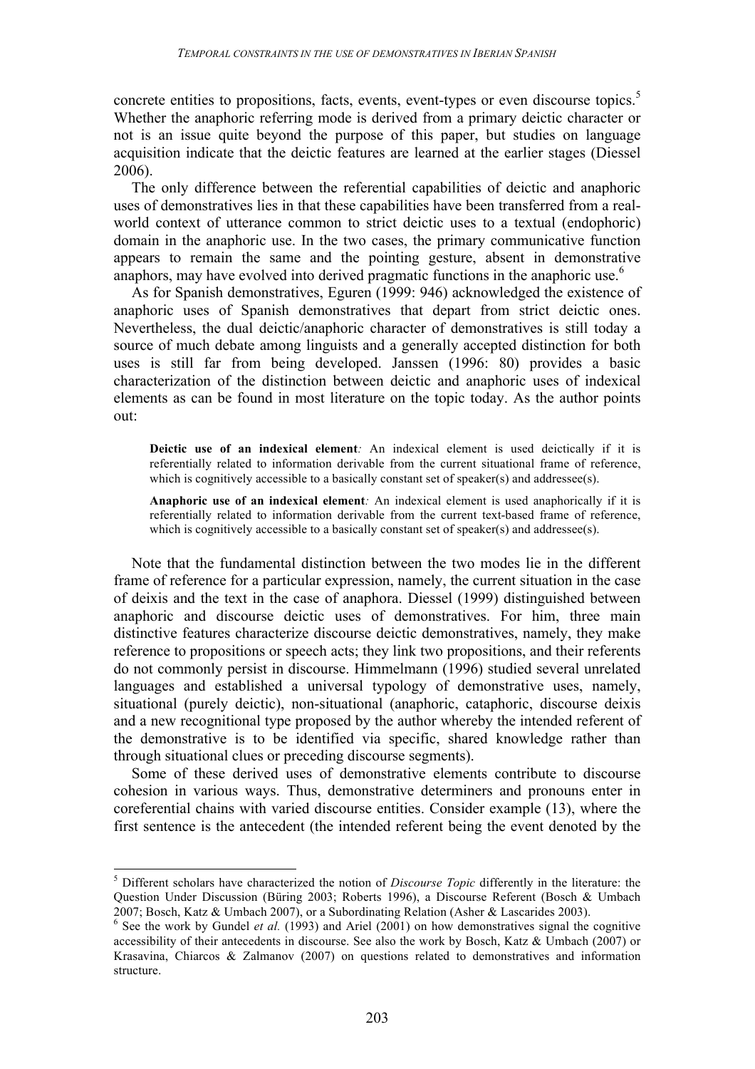concrete entities to propositions, facts, events, event-types or even discourse topics.<sup>5</sup> Whether the anaphoric referring mode is derived from a primary deictic character or not is an issue quite beyond the purpose of this paper, but studies on language acquisition indicate that the deictic features are learned at the earlier stages (Diessel 2006).

The only difference between the referential capabilities of deictic and anaphoric uses of demonstratives lies in that these capabilities have been transferred from a realworld context of utterance common to strict deictic uses to a textual (endophoric) domain in the anaphoric use. In the two cases, the primary communicative function appears to remain the same and the pointing gesture, absent in demonstrative anaphors, may have evolved into derived pragmatic functions in the anaphoric use.<sup>6</sup>

As for Spanish demonstratives, Eguren (1999: 946) acknowledged the existence of anaphoric uses of Spanish demonstratives that depart from strict deictic ones. Nevertheless, the dual deictic/anaphoric character of demonstratives is still today a source of much debate among linguists and a generally accepted distinction for both uses is still far from being developed. Janssen (1996: 80) provides a basic characterization of the distinction between deictic and anaphoric uses of indexical elements as can be found in most literature on the topic today. As the author points out:

**Deictic use of an indexical element***:* An indexical element is used deictically if it is referentially related to information derivable from the current situational frame of reference, which is cognitively accessible to a basically constant set of speaker(s) and addressee(s).

**Anaphoric use of an indexical element***:* An indexical element is used anaphorically if it is referentially related to information derivable from the current text-based frame of reference, which is cognitively accessible to a basically constant set of speaker(s) and addressee(s).

Note that the fundamental distinction between the two modes lie in the different frame of reference for a particular expression, namely, the current situation in the case of deixis and the text in the case of anaphora. Diessel (1999) distinguished between anaphoric and discourse deictic uses of demonstratives. For him, three main distinctive features characterize discourse deictic demonstratives, namely, they make reference to propositions or speech acts; they link two propositions, and their referents do not commonly persist in discourse. Himmelmann (1996) studied several unrelated languages and established a universal typology of demonstrative uses, namely, situational (purely deictic), non-situational (anaphoric, cataphoric, discourse deixis and a new recognitional type proposed by the author whereby the intended referent of the demonstrative is to be identified via specific, shared knowledge rather than through situational clues or preceding discourse segments).

Some of these derived uses of demonstrative elements contribute to discourse cohesion in various ways. Thus, demonstrative determiners and pronouns enter in coreferential chains with varied discourse entities. Consider example (13), where the first sentence is the antecedent (the intended referent being the event denoted by the

 <sup>5</sup> Different scholars have characterized the notion of *Discourse Topic* differently in the literature: the Question Under Discussion (Büring 2003; Roberts 1996), a Discourse Referent (Bosch & Umbach 2007; Bosch, Katz & Umbach 2007), or a Subordinating Relation (Asher & Lascarides 2003). <sup>6</sup> See the work by Gundel *et al.* (1993) and Ariel (2001) on how demonstratives signal the cognitive

accessibility of their antecedents in discourse. See also the work by Bosch, Katz & Umbach (2007) or Krasavina, Chiarcos & Zalmanov (2007) on questions related to demonstratives and information structure.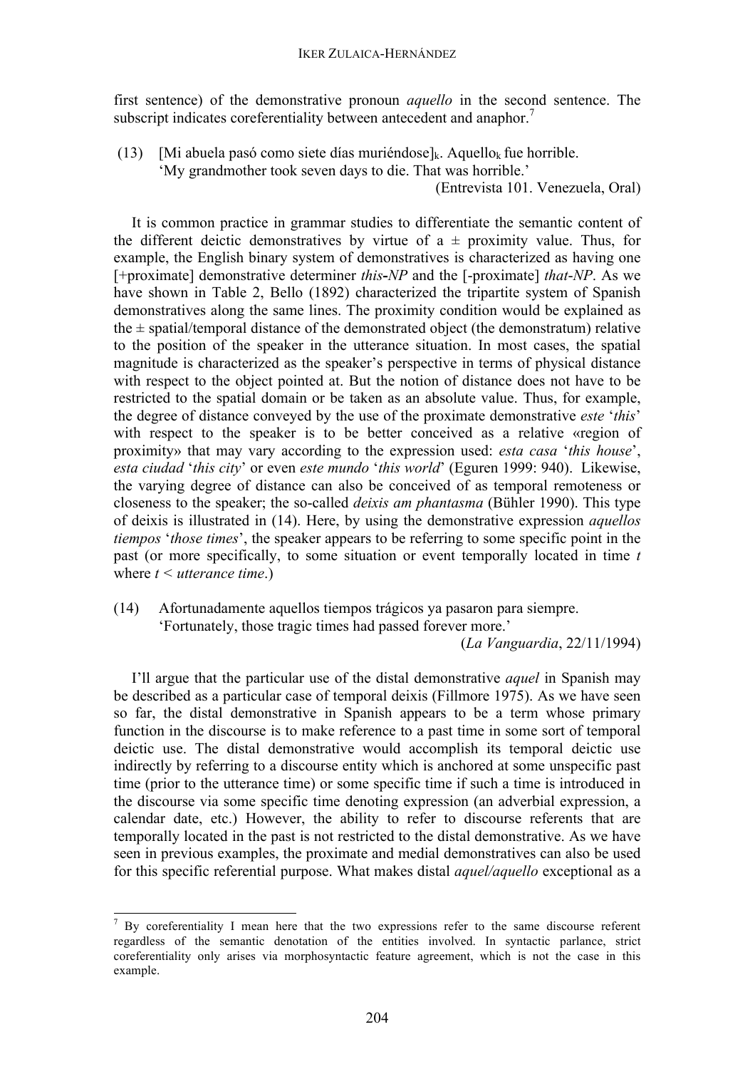first sentence) of the demonstrative pronoun *aquello* in the second sentence. The subscript indicates coreferentiality between antecedent and anaphor.<sup>7</sup>

(13) [Mi abuela pasó como siete días muriéndose]<sub>k</sub>. Aquello<sub>k</sub> fue horrible.

'My grandmother took seven days to die. That was horrible.'

(Entrevista 101. Venezuela, Oral)

It is common practice in grammar studies to differentiate the semantic content of the different deictic demonstratives by virtue of  $a \pm$  proximity value. Thus, for example, the English binary system of demonstratives is characterized as having one [+proximate] demonstrative determiner *this***-***NP* and the [-proximate] *that*-*NP*. As we have shown in Table 2, Bello (1892) characterized the tripartite system of Spanish demonstratives along the same lines. The proximity condition would be explained as the  $\pm$  spatial/temporal distance of the demonstrated object (the demonstratum) relative to the position of the speaker in the utterance situation. In most cases, the spatial magnitude is characterized as the speaker's perspective in terms of physical distance with respect to the object pointed at. But the notion of distance does not have to be restricted to the spatial domain or be taken as an absolute value. Thus, for example, the degree of distance conveyed by the use of the proximate demonstrative *este* '*this*' with respect to the speaker is to be better conceived as a relative «region of proximity» that may vary according to the expression used: *esta casa* '*this house*', *esta ciudad* '*this city*' or even *este mundo* '*this world*' (Eguren 1999: 940). Likewise, the varying degree of distance can also be conceived of as temporal remoteness or closeness to the speaker; the so-called *deixis am phantasma* (Bühler 1990). This type of deixis is illustrated in (14). Here, by using the demonstrative expression *aquellos tiempos* '*those times*', the speaker appears to be referring to some specific point in the past (or more specifically, to some situation or event temporally located in time *t*  where *t < utterance time*.)

(14) Afortunadamente aquellos tiempos trágicos ya pasaron para siempre. 'Fortunately, those tragic times had passed forever more.'

(*La Vanguardia*, 22/11/1994)

I'll argue that the particular use of the distal demonstrative *aquel* in Spanish may be described as a particular case of temporal deixis (Fillmore 1975). As we have seen so far, the distal demonstrative in Spanish appears to be a term whose primary function in the discourse is to make reference to a past time in some sort of temporal deictic use. The distal demonstrative would accomplish its temporal deictic use indirectly by referring to a discourse entity which is anchored at some unspecific past time (prior to the utterance time) or some specific time if such a time is introduced in the discourse via some specific time denoting expression (an adverbial expression, a calendar date, etc.) However, the ability to refer to discourse referents that are temporally located in the past is not restricted to the distal demonstrative. As we have seen in previous examples, the proximate and medial demonstratives can also be used for this specific referential purpose. What makes distal *aquel/aquello* exceptional as a

 $7$  By coreferentiality I mean here that the two expressions refer to the same discourse referent regardless of the semantic denotation of the entities involved. In syntactic parlance, strict coreferentiality only arises via morphosyntactic feature agreement, which is not the case in this example.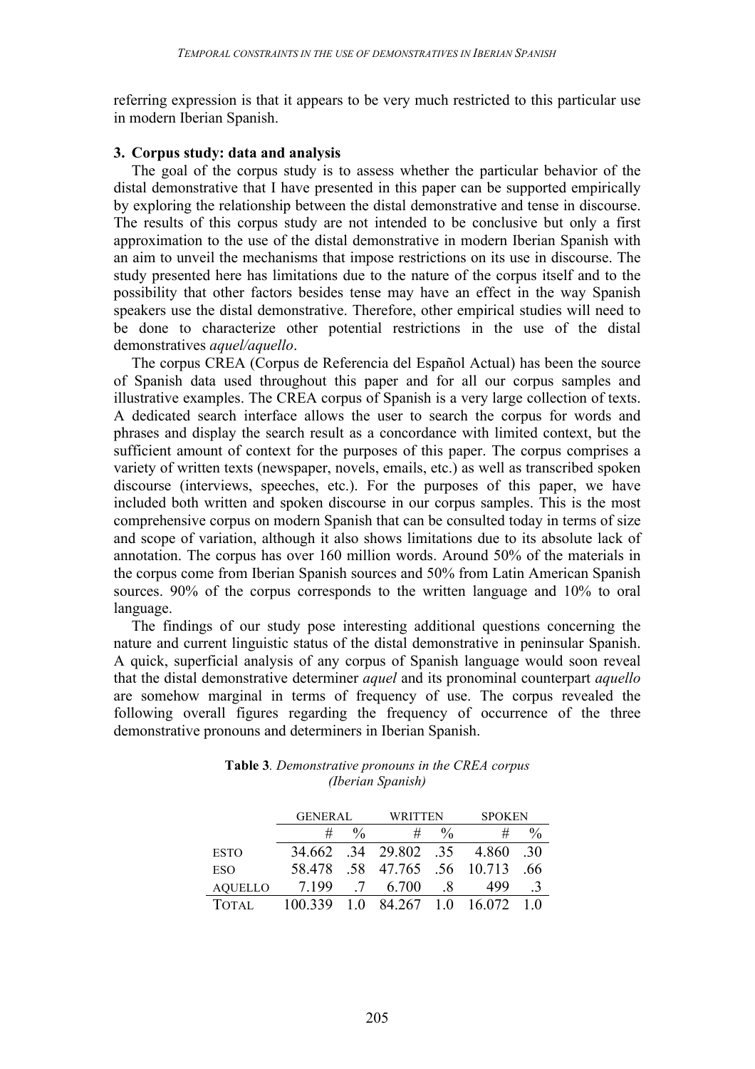referring expression is that it appears to be very much restricted to this particular use in modern Iberian Spanish.

# **3. Corpus study: data and analysis**

The goal of the corpus study is to assess whether the particular behavior of the distal demonstrative that I have presented in this paper can be supported empirically by exploring the relationship between the distal demonstrative and tense in discourse. The results of this corpus study are not intended to be conclusive but only a first approximation to the use of the distal demonstrative in modern Iberian Spanish with an aim to unveil the mechanisms that impose restrictions on its use in discourse. The study presented here has limitations due to the nature of the corpus itself and to the possibility that other factors besides tense may have an effect in the way Spanish speakers use the distal demonstrative. Therefore, other empirical studies will need to be done to characterize other potential restrictions in the use of the distal demonstratives *aquel/aquello*.

The corpus CREA (Corpus de Referencia del Español Actual) has been the source of Spanish data used throughout this paper and for all our corpus samples and illustrative examples. The CREA corpus of Spanish is a very large collection of texts. A dedicated search interface allows the user to search the corpus for words and phrases and display the search result as a concordance with limited context, but the sufficient amount of context for the purposes of this paper. The corpus comprises a variety of written texts (newspaper, novels, emails, etc.) as well as transcribed spoken discourse (interviews, speeches, etc.). For the purposes of this paper, we have included both written and spoken discourse in our corpus samples. This is the most comprehensive corpus on modern Spanish that can be consulted today in terms of size and scope of variation, although it also shows limitations due to its absolute lack of annotation. The corpus has over 160 million words. Around 50% of the materials in the corpus come from Iberian Spanish sources and 50% from Latin American Spanish sources. 90% of the corpus corresponds to the written language and 10% to oral language.

The findings of our study pose interesting additional questions concerning the nature and current linguistic status of the distal demonstrative in peninsular Spanish. A quick, superficial analysis of any corpus of Spanish language would soon reveal that the distal demonstrative determiner *aquel* and its pronominal counterpart *aquello* are somehow marginal in terms of frequency of use. The corpus revealed the following overall figures regarding the frequency of occurrence of the three demonstrative pronouns and determiners in Iberian Spanish.

|                | <b>GENERAL</b> |               | WRITTEN |               | <b>SPOKEN</b> |     |  |
|----------------|----------------|---------------|---------|---------------|---------------|-----|--|
|                | #              | $\frac{0}{0}$ | #       | $\frac{0}{0}$ | #             |     |  |
| <b>ESTO</b>    | 34.662         | .34           | 29.802  | -35           | 4.860         | -30 |  |
| ESO            | 58 478         | .58           | 47.765  |               | .56 10.713    | .66 |  |
| <b>AOUELLO</b> | 7 1 9 9        |               | 6.700   | $\mathsf{x}$  | 499           |     |  |
| <b>TOTAL</b>   | 100.339        |               | 84.267  | 10            | 16 072        |     |  |

**Table 3***. Demonstrative pronouns in the CREA corpus (Iberian Spanish)*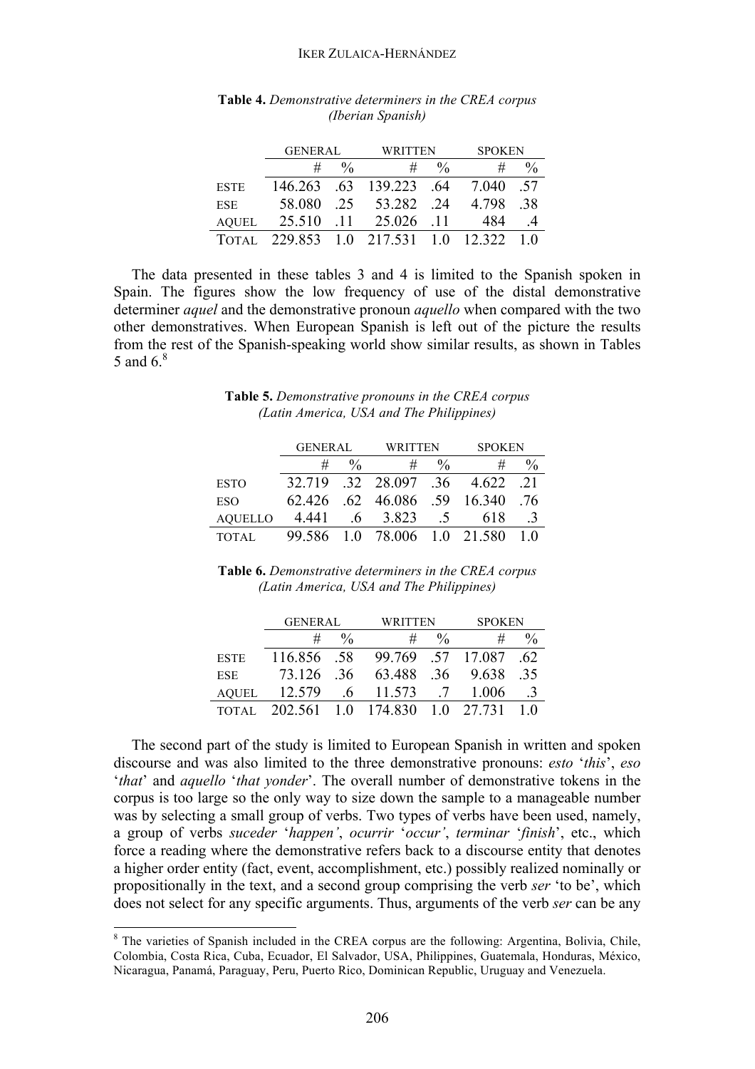#### IKER ZULAICA-HERNÁNDEZ

|       | <b>GENERAL</b> |               | <b>WRITTEN</b>                 |               | <b>SPOKEN</b> |      |  |
|-------|----------------|---------------|--------------------------------|---------------|---------------|------|--|
|       | #              | $\frac{0}{0}$ | #                              | $\frac{0}{0}$ | #             |      |  |
| ESTE  |                |               | 146.263 .63 139.223 .64        |               | 7.040         | - 57 |  |
| ESE   | 58.080         | 25            | 53.282 .24                     |               | 4.798         | -38  |  |
| AOUEL | 25.510         | -11           | 25.026                         | - 11          | 484           |      |  |
| TOTAL |                |               | 229.853 1.0 217.531 1.0 12.322 |               |               | 10   |  |

#### **Table 4.** *Demonstrative determiners in the CREA corpus (Iberian Spanish)*

The data presented in these tables 3 and 4 is limited to the Spanish spoken in Spain. The figures show the low frequency of use of the distal demonstrative determiner *aquel* and the demonstrative pronoun *aquello* when compared with the two other demonstratives. When European Spanish is left out of the picture the results from the rest of the Spanish-speaking world show similar results, as shown in Tables 5 and 6.<sup>8</sup>

| <b>Table 5.</b> Demonstrative pronouns in the CREA corpus |  |
|-----------------------------------------------------------|--|
| (Latin America, USA and The Philippines)                  |  |

|                | <b>GENERAL</b> |                | WRITTEN                      |               | <b>SPOKEN</b> |       |
|----------------|----------------|----------------|------------------------------|---------------|---------------|-------|
|                | #              | $\frac{0}{0}$  | #                            | $\frac{0}{0}$ | #             |       |
| <b>ESTO</b>    | 32 719         |                | $.32 \quad 28.097 \quad .36$ |               | 4 622         | $-21$ |
| ESO            | 62.426         |                | $.62 \quad 46.086$           | .59           | 16.340        | -76   |
| <b>AOUELLO</b> | 4.441          | 6 <sub>1</sub> | 3.823                        | $\Delta$      | 618           |       |
| TOTAL          | 99.586         |                | 1.0 78.006 1.0 21.580        |               |               |       |

**Table 6.** *Demonstrative determiners in the CREA corpus (Latin America, USA and The Philippines)*

|              | <b>GENERAL</b> |               | WRITTEN     |               | <b>SPOKEN</b>    |     |  |
|--------------|----------------|---------------|-------------|---------------|------------------|-----|--|
|              | #              | $\frac{0}{0}$ | #           | $\frac{0}{0}$ | #                |     |  |
| <b>ESTE</b>  | 116.856 .58    |               |             |               | 99.769 57 17.087 | -62 |  |
| <b>ESE</b>   | 73.126         | -36           | 63.488      | -36-          | 9.638            | -35 |  |
| <b>AOUEL</b> | 12.579         | $\cdot$ 6     | 11.573      | 7             | 1.006            | -3  |  |
| TOTAL        | 202.561        |               | 1.0 174.830 |               | 1 0 27 731       |     |  |

The second part of the study is limited to European Spanish in written and spoken discourse and was also limited to the three demonstrative pronouns: *esto* '*this*', *eso* '*that*' and *aquello* '*that yonder*'. The overall number of demonstrative tokens in the corpus is too large so the only way to size down the sample to a manageable number was by selecting a small group of verbs. Two types of verbs have been used, namely, a group of verbs *suceder* '*happen'*, *ocurrir* '*occur'*, *terminar* '*finish*', etc., which force a reading where the demonstrative refers back to a discourse entity that denotes a higher order entity (fact, event, accomplishment, etc.) possibly realized nominally or propositionally in the text, and a second group comprising the verb *ser* 'to be', which does not select for any specific arguments. Thus, arguments of the verb *ser* can be any

 <sup>8</sup> The varieties of Spanish included in the CREA corpus are the following: Argentina, Bolivia, Chile, Colombia, Costa Rica, Cuba, Ecuador, El Salvador, USA, Philippines, Guatemala, Honduras, México, Nicaragua, Panamá, Paraguay, Peru, Puerto Rico, Dominican Republic, Uruguay and Venezuela.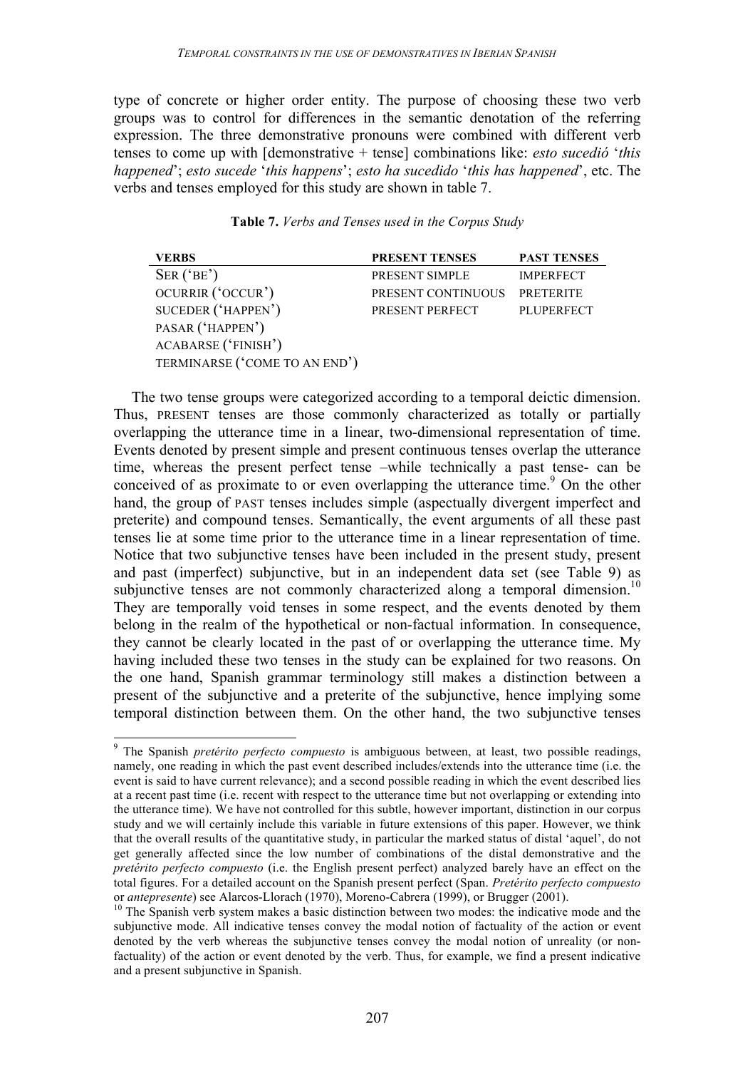type of concrete or higher order entity. The purpose of choosing these two verb groups was to control for differences in the semantic denotation of the referring expression. The three demonstrative pronouns were combined with different verb tenses to come up with [demonstrative + tense] combinations like: *esto sucedió* '*this happened*'; *esto sucede* '*this happens*'; *esto ha sucedido* '*this has happened*', etc. The verbs and tenses employed for this study are shown in table 7.

| <b>VERBS</b>                  | <b>PRESENT TENSES</b>        | <b>PAST TENSES</b> |
|-------------------------------|------------------------------|--------------------|
| SER('BE')                     | PRESENT SIMPLE               | <b>IMPERFECT</b>   |
| OCURRIR ('OCCUR')             | PRESENT CONTINUOUS PRETERITE |                    |
| SUCEDER ('HAPPEN')            | PRESENT PERFECT              | PLUPERFECT         |
| PASAR ('HAPPEN')              |                              |                    |
| ACABARSE ('FINISH')           |                              |                    |
| TERMINARSE ('COME TO AN END') |                              |                    |

The two tense groups were categorized according to a temporal deictic dimension. Thus, PRESENT tenses are those commonly characterized as totally or partially overlapping the utterance time in a linear, two-dimensional representation of time. Events denoted by present simple and present continuous tenses overlap the utterance time, whereas the present perfect tense –while technically a past tense- can be conceived of as proximate to or even overlapping the utterance time.<sup>9</sup> On the other hand, the group of PAST tenses includes simple (aspectually divergent imperfect and preterite) and compound tenses. Semantically, the event arguments of all these past tenses lie at some time prior to the utterance time in a linear representation of time. Notice that two subjunctive tenses have been included in the present study, present and past (imperfect) subjunctive, but in an independent data set (see Table 9) as subjunctive tenses are not commonly characterized along a temporal dimension.<sup>10</sup> They are temporally void tenses in some respect, and the events denoted by them belong in the realm of the hypothetical or non-factual information. In consequence, they cannot be clearly located in the past of or overlapping the utterance time. My having included these two tenses in the study can be explained for two reasons. On the one hand, Spanish grammar terminology still makes a distinction between a present of the subjunctive and a preterite of the subjunctive, hence implying some temporal distinction between them. On the other hand, the two subjunctive tenses

 <sup>9</sup> The Spanish *pretérito perfecto compuesto* is ambiguous between, at least, two possible readings, namely, one reading in which the past event described includes/extends into the utterance time (i.e. the event is said to have current relevance); and a second possible reading in which the event described lies at a recent past time (i.e. recent with respect to the utterance time but not overlapping or extending into the utterance time). We have not controlled for this subtle, however important, distinction in our corpus study and we will certainly include this variable in future extensions of this paper. However, we think that the overall results of the quantitative study, in particular the marked status of distal 'aquel', do not get generally affected since the low number of combinations of the distal demonstrative and the *pretérito perfecto compuesto* (i.e. the English present perfect) analyzed barely have an effect on the total figures. For a detailed account on the Spanish present perfect (Span. *Pretérito perfecto compuesto*

<sup>&</sup>lt;sup>10</sup> The Spanish verb system makes a basic distinction between two modes: the indicative mode and the subjunctive mode. All indicative tenses convey the modal notion of factuality of the action or event denoted by the verb whereas the subjunctive tenses convey the modal notion of unreality (or nonfactuality) of the action or event denoted by the verb. Thus, for example, we find a present indicative and a present subjunctive in Spanish.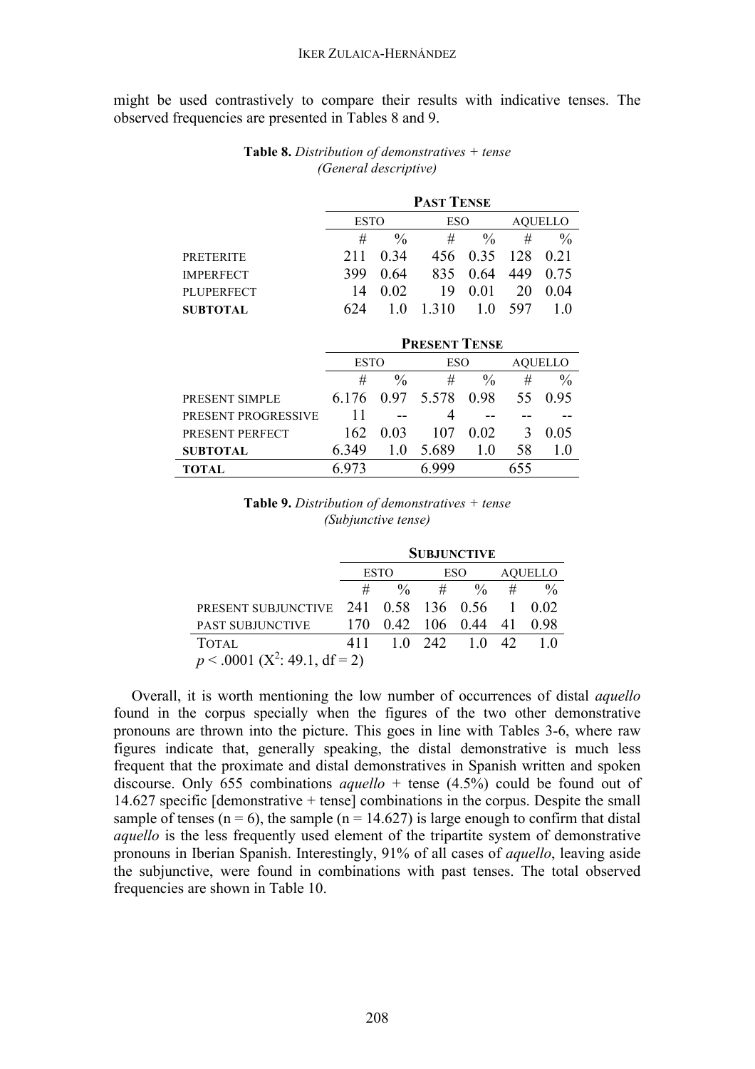might be used contrastively to compare their results with indicative tenses. The observed frequencies are presented in Tables 8 and 9.

|                   | <b>PAST TENSE</b> |               |       |                 |       |                |  |
|-------------------|-------------------|---------------|-------|-----------------|-------|----------------|--|
|                   |                   | <b>ESTO</b>   |       | <b>ESO</b>      |       | <b>AOUELLO</b> |  |
|                   | #                 | $\frac{0}{0}$ | #     | $\frac{0}{0}$   | #     | $\frac{0}{0}$  |  |
| <b>PRETERITE</b>  | 211               | 0.34          | 456   | 0.35            | - 128 | 0.21           |  |
| <b>IMPERFECT</b>  | 399               | 0.64          | 835   | 0.64            | 449   | 0.75           |  |
| <b>PLUPERFECT</b> | 14                | 0.02          | 19    | 0 <sub>01</sub> | 20    | 0.04           |  |
| <b>SUBTOTAL</b>   | 624               | $\theta$      | 1 310 | 10              | 597   | l ()           |  |

### **Table 8.** *Distribution of demonstratives + tense (General descriptive)*

|                     | <b>PRESENT TENSE</b> |      |       |               |         |               |  |
|---------------------|----------------------|------|-------|---------------|---------|---------------|--|
|                     | <b>ESTO</b>          |      | ESO   |               | AOUELLO |               |  |
|                     | #                    | $\%$ | #     | $\frac{0}{0}$ | #       | $\frac{0}{0}$ |  |
| PRESENT SIMPLE      | 6 1 7 6              | 0.97 | 5.578 | - 0.98        | 55      | 0.95          |  |
| PRESENT PROGRESSIVE |                      |      | 4     |               |         |               |  |
| PRESENT PERFECT     | 162                  | 0.03 | 107   | 0.02          |         | 0.05          |  |
| <b>SUBTOTAL</b>     | 6 349                |      | 5.689 | 1.0           | 58      |               |  |
| TOTAL               |                      |      |       |               |         |               |  |

#### **Table 9.** *Distribution of demonstratives + tense (Subjunctive tense)*

|                                             | <b>SUBJUNCTIVE</b> |      |            |               |                |         |
|---------------------------------------------|--------------------|------|------------|---------------|----------------|---------|
|                                             | <b>ESTO</b>        |      | <b>ESO</b> |               | <b>AOUELLO</b> |         |
|                                             | #                  | $\%$ | #          | $\frac{0}{0}$ | #              |         |
| PRESENT SUBJUNCTIVE 241 0.58 136 0.56 1     |                    |      |            |               |                | $-0.02$ |
| <b>PAST SUBJUNCTIVE</b>                     | 170                | 0.42 |            | 106 0.44 41   |                | 0.98    |
| <b>TOTAL</b>                                | 411                |      | 1 0 242    | 10 42         |                |         |
| $p < .0001$ (X <sup>2</sup> : 49.1, df = 2) |                    |      |            |               |                |         |

Overall, it is worth mentioning the low number of occurrences of distal *aquello* found in the corpus specially when the figures of the two other demonstrative pronouns are thrown into the picture. This goes in line with Tables 3-6, where raw figures indicate that, generally speaking, the distal demonstrative is much less frequent that the proximate and distal demonstratives in Spanish written and spoken discourse. Only 655 combinations *aquello* + tense (4.5%) could be found out of 14.627 specific [demonstrative + tense] combinations in the corpus. Despite the small sample of tenses ( $n = 6$ ), the sample ( $n = 14.627$ ) is large enough to confirm that distal *aquello* is the less frequently used element of the tripartite system of demonstrative pronouns in Iberian Spanish. Interestingly, 91% of all cases of *aquello*, leaving aside the subjunctive, were found in combinations with past tenses. The total observed frequencies are shown in Table 10.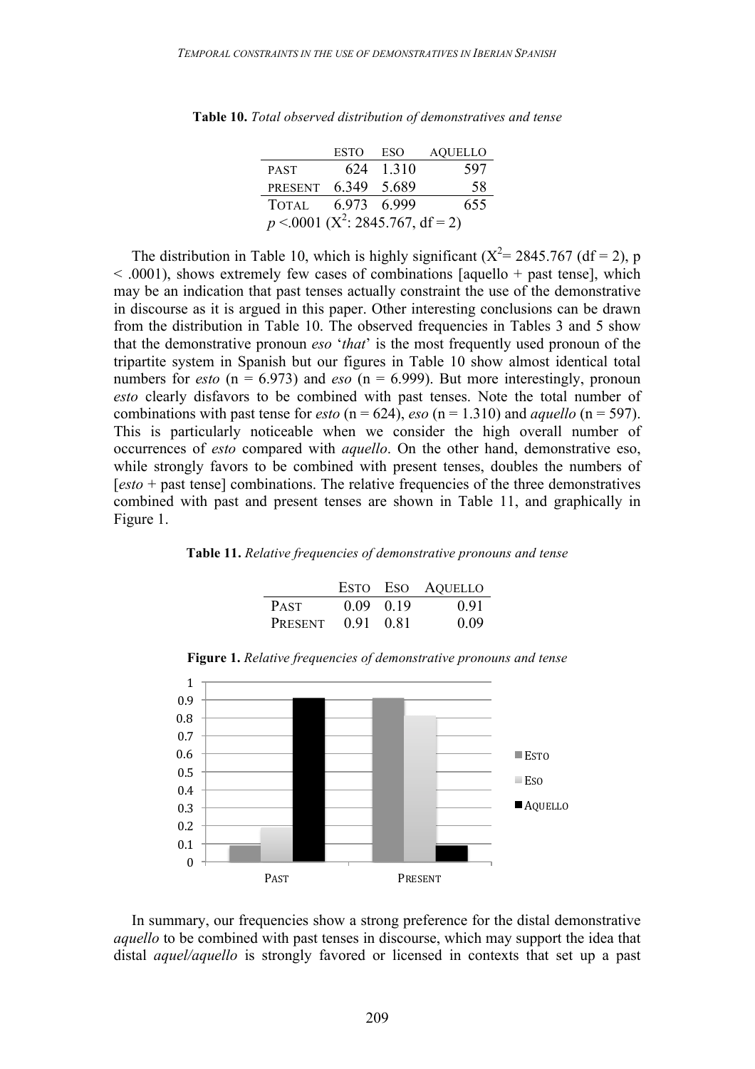|                                                  | <b>ESTO</b> | ESO       | <b>AQUELLO</b> |
|--------------------------------------------------|-------------|-----------|----------------|
| <b>PAST</b>                                      |             | 624 1.310 | 597            |
| <b>PRESENT</b>                                   | 6.349       | -5.689    | 58             |
| <b>TOTAL</b>                                     | 6.973 6.999 |           | 655            |
| $p \le 0001$ (X <sup>2</sup> : 2845.767, df = 2) |             |           |                |

**Table 10.** *Total observed distribution of demonstratives and tense*

The distribution in Table 10, which is highly significant ( $X^2 = 2845.767$  (df = 2), p  $\leq$  0001), shows extremely few cases of combinations [aquello + past tense], which may be an indication that past tenses actually constraint the use of the demonstrative in discourse as it is argued in this paper. Other interesting conclusions can be drawn from the distribution in Table 10. The observed frequencies in Tables 3 and 5 show that the demonstrative pronoun *eso* '*that*' is the most frequently used pronoun of the tripartite system in Spanish but our figures in Table 10 show almost identical total numbers for *esto* ( $n = 6.973$ ) and *eso* ( $n = 6.999$ ). But more interestingly, pronoun *esto* clearly disfavors to be combined with past tenses. Note the total number of combinations with past tense for *esto* ( $n = 624$ ), *eso* ( $n = 1.310$ ) and *aquello* ( $n = 597$ ). This is particularly noticeable when we consider the high overall number of occurrences of *esto* compared with *aquello*. On the other hand, demonstrative eso, while strongly favors to be combined with present tenses, doubles the numbers of [*esto* + past tense] combinations. The relative frequencies of the three demonstratives combined with past and present tenses are shown in Table 11, and graphically in Figure 1.

#### **Table 11.** *Relative frequencies of demonstrative pronouns and tense*

|             |                   | ESTO ESO AQUELLO |
|-------------|-------------------|------------------|
| <b>PAST</b> | $0.09 \quad 0.19$ | 0.91             |
| PRESENT     | 0.91 0.81         | 0.09             |



**Figure 1.** *Relative frequencies of demonstrative pronouns and tense*

In summary, our frequencies show a strong preference for the distal demonstrative *aquello* to be combined with past tenses in discourse, which may support the idea that distal *aquel/aquello* is strongly favored or licensed in contexts that set up a past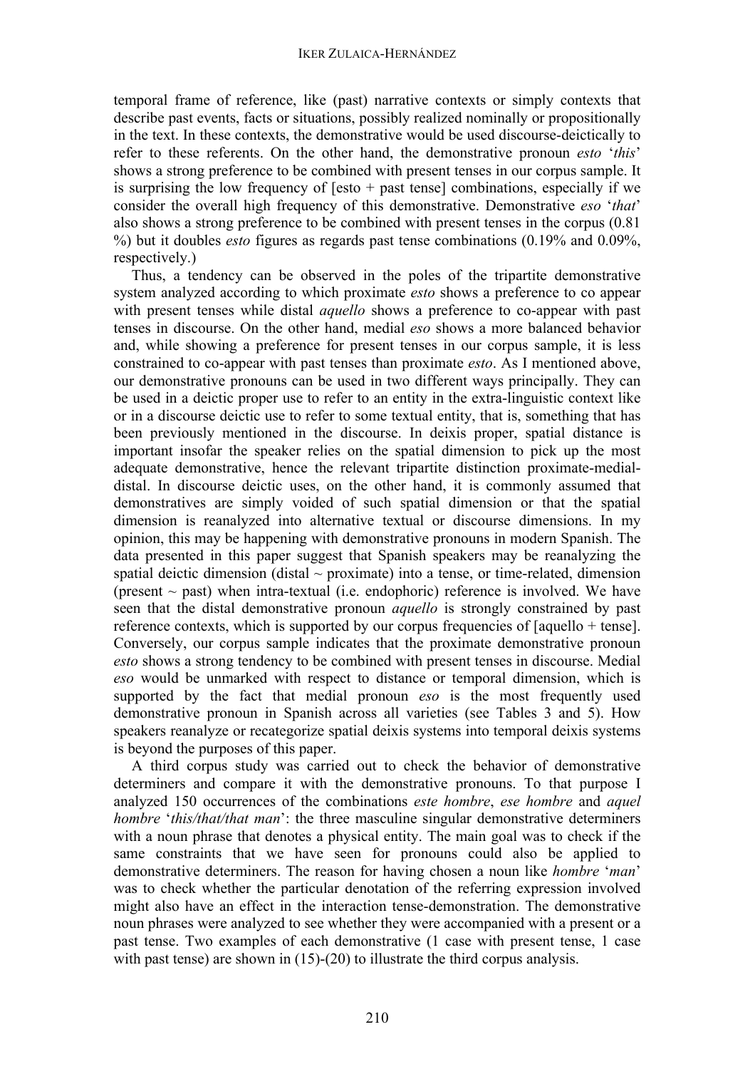temporal frame of reference, like (past) narrative contexts or simply contexts that describe past events, facts or situations, possibly realized nominally or propositionally in the text. In these contexts, the demonstrative would be used discourse-deictically to refer to these referents. On the other hand, the demonstrative pronoun *esto* '*this*' shows a strong preference to be combined with present tenses in our corpus sample. It is surprising the low frequency of  $[esto + past tense]$  combinations, especially if we consider the overall high frequency of this demonstrative. Demonstrative *eso* '*that*' also shows a strong preference to be combined with present tenses in the corpus (0.81 %) but it doubles *esto* figures as regards past tense combinations (0.19% and 0.09%, respectively.)

Thus, a tendency can be observed in the poles of the tripartite demonstrative system analyzed according to which proximate *esto* shows a preference to co appear with present tenses while distal *aquello* shows a preference to co-appear with past tenses in discourse. On the other hand, medial *eso* shows a more balanced behavior and, while showing a preference for present tenses in our corpus sample, it is less constrained to co-appear with past tenses than proximate *esto*. As I mentioned above, our demonstrative pronouns can be used in two different ways principally. They can be used in a deictic proper use to refer to an entity in the extra-linguistic context like or in a discourse deictic use to refer to some textual entity, that is, something that has been previously mentioned in the discourse. In deixis proper, spatial distance is important insofar the speaker relies on the spatial dimension to pick up the most adequate demonstrative, hence the relevant tripartite distinction proximate-medialdistal. In discourse deictic uses, on the other hand, it is commonly assumed that demonstratives are simply voided of such spatial dimension or that the spatial dimension is reanalyzed into alternative textual or discourse dimensions. In my opinion, this may be happening with demonstrative pronouns in modern Spanish. The data presented in this paper suggest that Spanish speakers may be reanalyzing the spatial deictic dimension (distal  $\sim$  proximate) into a tense, or time-related, dimension (present  $\sim$  past) when intra-textual (i.e. endophoric) reference is involved. We have seen that the distal demonstrative pronoun *aquello* is strongly constrained by past reference contexts, which is supported by our corpus frequencies of [aquello + tense]. Conversely, our corpus sample indicates that the proximate demonstrative pronoun *esto* shows a strong tendency to be combined with present tenses in discourse. Medial *eso* would be unmarked with respect to distance or temporal dimension, which is supported by the fact that medial pronoun *eso* is the most frequently used demonstrative pronoun in Spanish across all varieties (see Tables 3 and 5). How speakers reanalyze or recategorize spatial deixis systems into temporal deixis systems is beyond the purposes of this paper.

A third corpus study was carried out to check the behavior of demonstrative determiners and compare it with the demonstrative pronouns. To that purpose I analyzed 150 occurrences of the combinations *este hombre*, *ese hombre* and *aquel hombre* '*this/that/that man*': the three masculine singular demonstrative determiners with a noun phrase that denotes a physical entity. The main goal was to check if the same constraints that we have seen for pronouns could also be applied to demonstrative determiners. The reason for having chosen a noun like *hombre* '*man*' was to check whether the particular denotation of the referring expression involved might also have an effect in the interaction tense-demonstration. The demonstrative noun phrases were analyzed to see whether they were accompanied with a present or a past tense. Two examples of each demonstrative (1 case with present tense, 1 case with past tense) are shown in (15)-(20) to illustrate the third corpus analysis.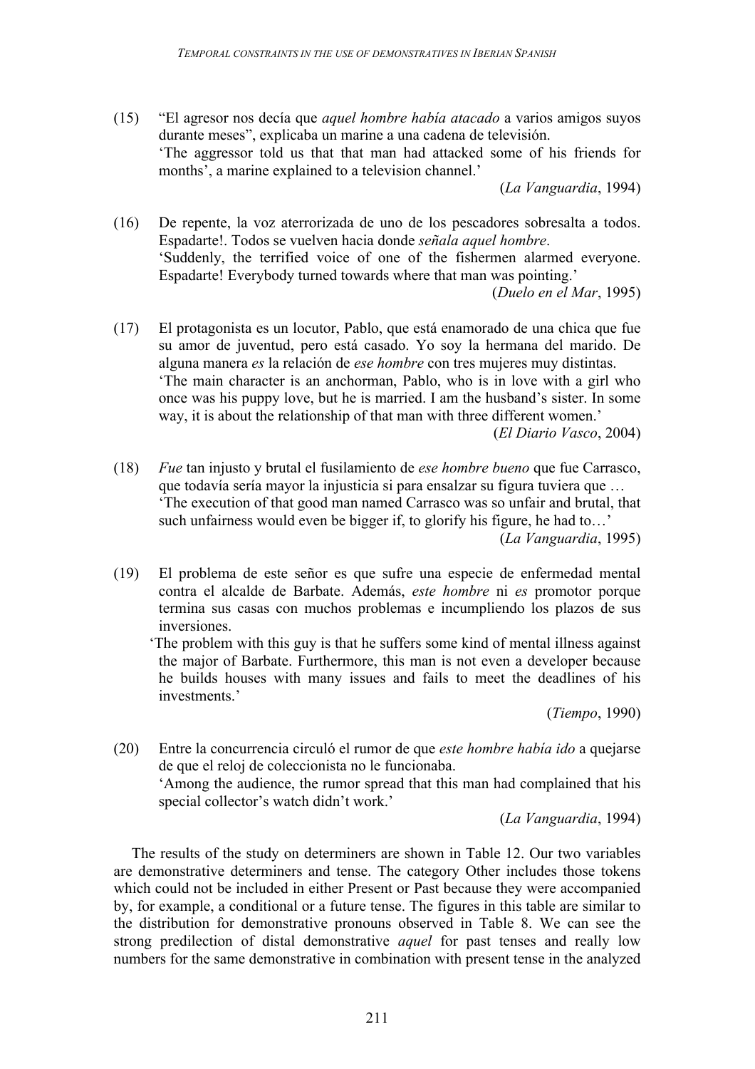(15) "El agresor nos decía que *aquel hombre había atacado* a varios amigos suyos durante meses", explicaba un marine a una cadena de televisión. 'The aggressor told us that that man had attacked some of his friends for months', a marine explained to a television channel.'

(*La Vanguardia*, 1994)

(16) De repente, la voz aterrorizada de uno de los pescadores sobresalta a todos. Espadarte!. Todos se vuelven hacia donde *señala aquel hombre*. 'Suddenly, the terrified voice of one of the fishermen alarmed everyone. Espadarte! Everybody turned towards where that man was pointing.'

(*Duelo en el Mar*, 1995)

(17) El protagonista es un locutor, Pablo, que está enamorado de una chica que fue su amor de juventud, pero está casado. Yo soy la hermana del marido. De alguna manera *es* la relación de *ese hombre* con tres mujeres muy distintas. 'The main character is an anchorman, Pablo, who is in love with a girl who once was his puppy love, but he is married. I am the husband's sister. In some way, it is about the relationship of that man with three different women.'

(*El Diario Vasco*, 2004)

(18) *Fue* tan injusto y brutal el fusilamiento de *ese hombre bueno* que fue Carrasco, que todavía sería mayor la injusticia si para ensalzar su figura tuviera que … 'The execution of that good man named Carrasco was so unfair and brutal, that such unfairness would even be bigger if, to glorify his figure, he had to…'

(*La Vanguardia*, 1995)

(19) El problema de este señor es que sufre una especie de enfermedad mental contra el alcalde de Barbate. Además, *este hombre* ni *es* promotor porque termina sus casas con muchos problemas e incumpliendo los plazos de sus inversiones.

'The problem with this guy is that he suffers some kind of mental illness against the major of Barbate. Furthermore, this man is not even a developer because he builds houses with many issues and fails to meet the deadlines of his investments.'

(*Tiempo*, 1990)

(20) Entre la concurrencia circuló el rumor de que *este hombre había ido* a quejarse de que el reloj de coleccionista no le funcionaba. 'Among the audience, the rumor spread that this man had complained that his special collector's watch didn't work.'

(*La Vanguardia*, 1994)

The results of the study on determiners are shown in Table 12. Our two variables are demonstrative determiners and tense. The category Other includes those tokens which could not be included in either Present or Past because they were accompanied by, for example, a conditional or a future tense. The figures in this table are similar to the distribution for demonstrative pronouns observed in Table 8. We can see the strong predilection of distal demonstrative *aquel* for past tenses and really low numbers for the same demonstrative in combination with present tense in the analyzed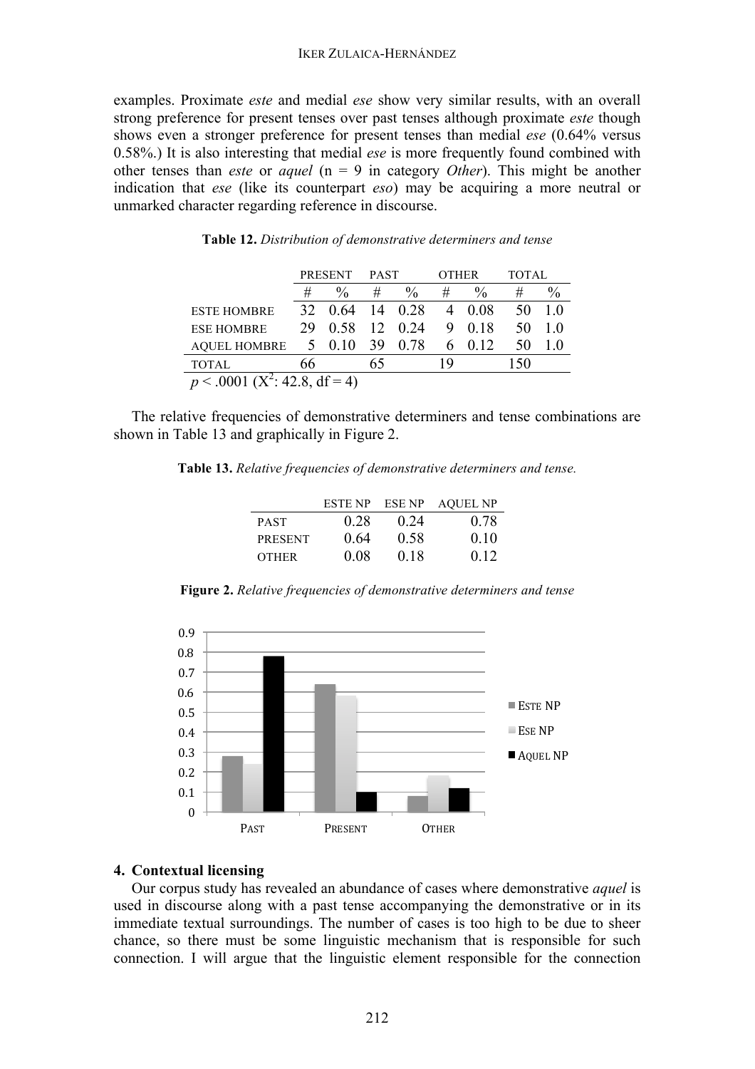examples. Proximate *este* and medial *ese* show very similar results, with an overall strong preference for present tenses over past tenses although proximate *este* though shows even a stronger preference for present tenses than medial *ese* (0.64% versus 0.58%.) It is also interesting that medial *ese* is more frequently found combined with other tenses than *este* or *aquel* (n = 9 in category *Other*). This might be another indication that *ese* (like its counterpart *eso*) may be acquiring a more neutral or unmarked character regarding reference in discourse.

|                                    |    | <b>PRESENT</b> | PAST |      | <b>OTHER</b> |                 | <b>TOTAL</b> |               |
|------------------------------------|----|----------------|------|------|--------------|-----------------|--------------|---------------|
|                                    | #  | $\%$           | #    | $\%$ | #            | $\%$            | #            | $\frac{0}{0}$ |
| <b>ESTE HOMBRE</b>                 | 32 | 0.64           | 14   | 0.28 | 4            | - 0.08          | 50           | 10            |
| <b>ESE HOMBRE</b>                  | 29 | 0.58           | 12   | 0.24 | 9            | 0.18            | 50           | 10            |
| <b>AQUEL HOMBRE</b>                | 5  | 0.10           | - 39 | 0.78 | 6            | 0 <sub>12</sub> | 50           |               |
| <b>TOTAL</b>                       | 66 |                |      |      | 19           |                 | 150          |               |
| $(X^2: 42.8, df = 4)$<br>p < .0001 |    |                |      |      |              |                 |              |               |

#### **Table 12.** *Distribution of demonstrative determiners and tense*

The relative frequencies of demonstrative determiners and tense combinations are shown in Table 13 and graphically in Figure 2.

**Table 13.** *Relative frequencies of demonstrative determiners and tense.*

|                | ESTE NP | ESE NP | <b>AQUEL NP</b> |
|----------------|---------|--------|-----------------|
| <b>PAST</b>    | 0.28    | 0.24   | 0.78            |
| <b>PRESENT</b> | 0.64    | 0.58   | 010             |
| <b>OTHER</b>   | 0.08    | 0.18   | 012             |

**Figure 2.** *Relative frequencies of demonstrative determiners and tense*



# **4. Contextual licensing**

Our corpus study has revealed an abundance of cases where demonstrative *aquel* is used in discourse along with a past tense accompanying the demonstrative or in its immediate textual surroundings. The number of cases is too high to be due to sheer chance, so there must be some linguistic mechanism that is responsible for such connection. I will argue that the linguistic element responsible for the connection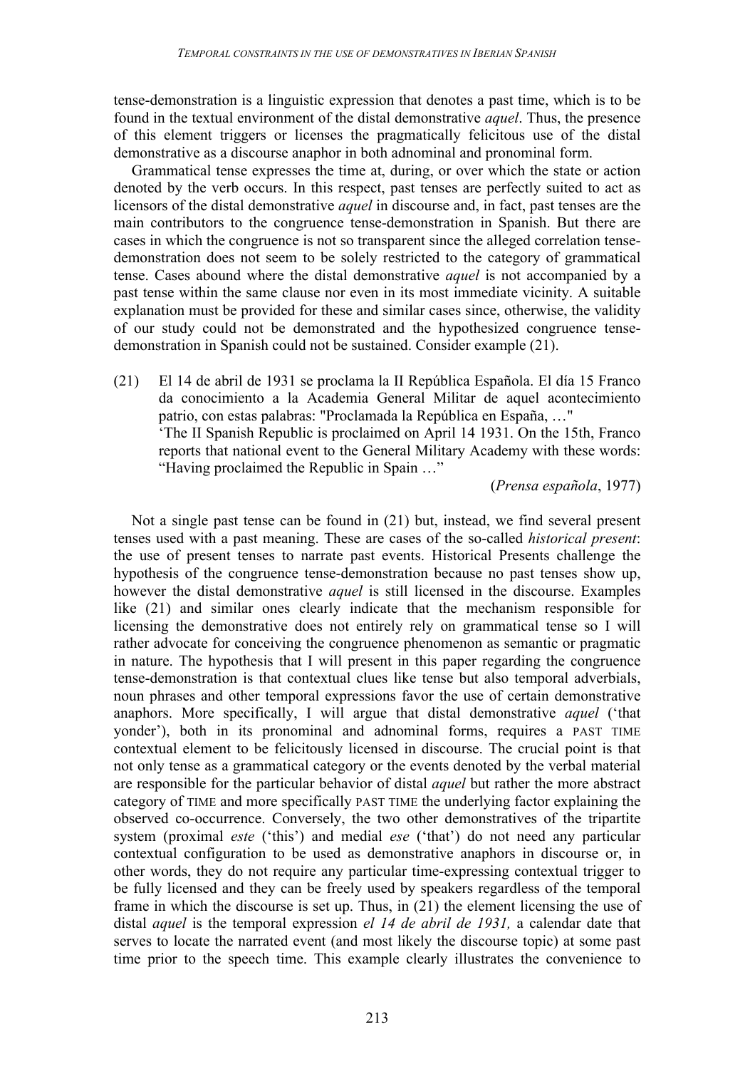tense-demonstration is a linguistic expression that denotes a past time, which is to be found in the textual environment of the distal demonstrative *aquel*. Thus, the presence of this element triggers or licenses the pragmatically felicitous use of the distal demonstrative as a discourse anaphor in both adnominal and pronominal form.

Grammatical tense expresses the time at, during, or over which the state or action denoted by the verb occurs. In this respect, past tenses are perfectly suited to act as licensors of the distal demonstrative *aquel* in discourse and, in fact, past tenses are the main contributors to the congruence tense-demonstration in Spanish. But there are cases in which the congruence is not so transparent since the alleged correlation tensedemonstration does not seem to be solely restricted to the category of grammatical tense. Cases abound where the distal demonstrative *aquel* is not accompanied by a past tense within the same clause nor even in its most immediate vicinity. A suitable explanation must be provided for these and similar cases since, otherwise, the validity of our study could not be demonstrated and the hypothesized congruence tensedemonstration in Spanish could not be sustained. Consider example (21).

(21) El 14 de abril de 1931 se proclama la II República Española. El día 15 Franco da conocimiento a la Academia General Militar de aquel acontecimiento patrio, con estas palabras: "Proclamada la República en España, …" 'The II Spanish Republic is proclaimed on April 14 1931. On the 15th, Franco reports that national event to the General Military Academy with these words: "Having proclaimed the Republic in Spain …"

(*Prensa española*, 1977)

Not a single past tense can be found in (21) but, instead, we find several present tenses used with a past meaning. These are cases of the so-called *historical present*: the use of present tenses to narrate past events. Historical Presents challenge the hypothesis of the congruence tense-demonstration because no past tenses show up, however the distal demonstrative *aquel* is still licensed in the discourse. Examples like (21) and similar ones clearly indicate that the mechanism responsible for licensing the demonstrative does not entirely rely on grammatical tense so I will rather advocate for conceiving the congruence phenomenon as semantic or pragmatic in nature. The hypothesis that I will present in this paper regarding the congruence tense-demonstration is that contextual clues like tense but also temporal adverbials, noun phrases and other temporal expressions favor the use of certain demonstrative anaphors. More specifically, I will argue that distal demonstrative *aquel* ('that yonder'), both in its pronominal and adnominal forms, requires a PAST TIME contextual element to be felicitously licensed in discourse. The crucial point is that not only tense as a grammatical category or the events denoted by the verbal material are responsible for the particular behavior of distal *aquel* but rather the more abstract category of TIME and more specifically PAST TIME the underlying factor explaining the observed co-occurrence. Conversely, the two other demonstratives of the tripartite system (proximal *este* ('this') and medial *ese* ('that') do not need any particular contextual configuration to be used as demonstrative anaphors in discourse or, in other words, they do not require any particular time-expressing contextual trigger to be fully licensed and they can be freely used by speakers regardless of the temporal frame in which the discourse is set up. Thus, in (21) the element licensing the use of distal *aquel* is the temporal expression *el 14 de abril de 1931,* a calendar date that serves to locate the narrated event (and most likely the discourse topic) at some past time prior to the speech time. This example clearly illustrates the convenience to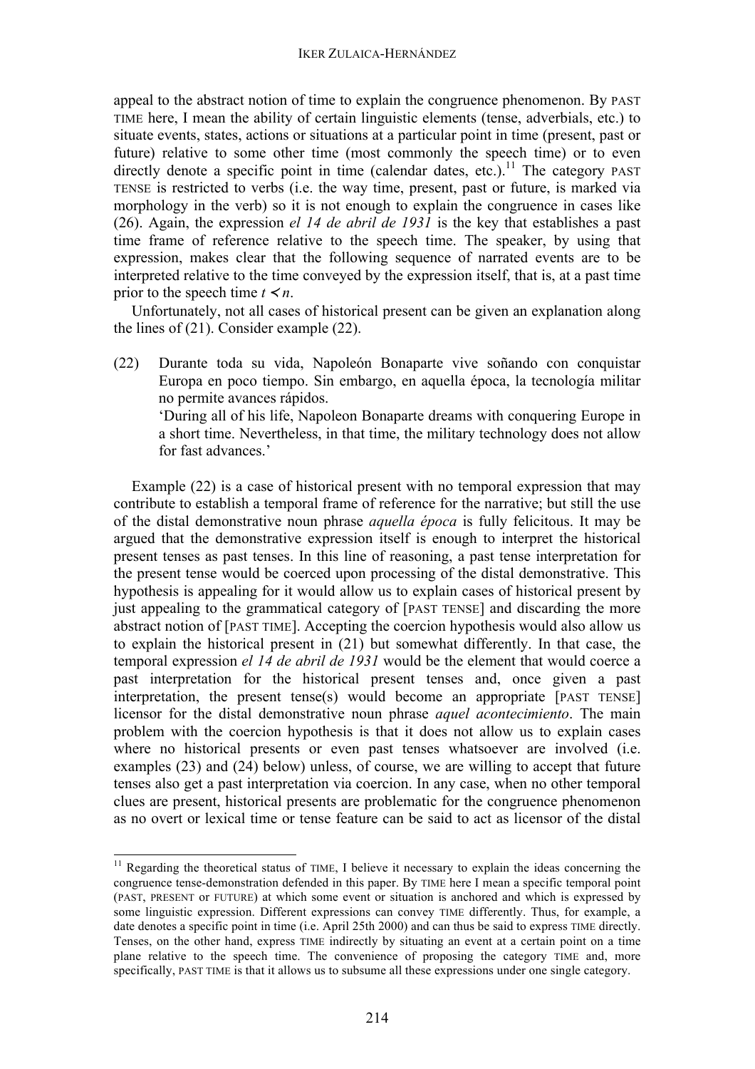appeal to the abstract notion of time to explain the congruence phenomenon. By PAST TIME here, I mean the ability of certain linguistic elements (tense, adverbials, etc.) to situate events, states, actions or situations at a particular point in time (present, past or future) relative to some other time (most commonly the speech time) or to even directly denote a specific point in time (calendar dates, etc.).<sup>11</sup> The category PAST TENSE is restricted to verbs (i.e. the way time, present, past or future, is marked via morphology in the verb) so it is not enough to explain the congruence in cases like (26). Again, the expression *el 14 de abril de 1931* is the key that establishes a past time frame of reference relative to the speech time. The speaker, by using that expression, makes clear that the following sequence of narrated events are to be interpreted relative to the time conveyed by the expression itself, that is, at a past time prior to the speech time  $t \leq n$ .

Unfortunately, not all cases of historical present can be given an explanation along the lines of (21). Consider example (22).

(22) Durante toda su vida, Napoleón Bonaparte vive soñando con conquistar Europa en poco tiempo. Sin embargo, en aquella época, la tecnología militar no permite avances rápidos. 'During all of his life, Napoleon Bonaparte dreams with conquering Europe in

a short time. Nevertheless, in that time, the military technology does not allow for fast advances.'

Example (22) is a case of historical present with no temporal expression that may contribute to establish a temporal frame of reference for the narrative; but still the use of the distal demonstrative noun phrase *aquella época* is fully felicitous. It may be argued that the demonstrative expression itself is enough to interpret the historical present tenses as past tenses. In this line of reasoning, a past tense interpretation for the present tense would be coerced upon processing of the distal demonstrative. This hypothesis is appealing for it would allow us to explain cases of historical present by just appealing to the grammatical category of [PAST TENSE] and discarding the more abstract notion of [PAST TIME]. Accepting the coercion hypothesis would also allow us to explain the historical present in (21) but somewhat differently. In that case, the temporal expression *el 14 de abril de 1931* would be the element that would coerce a past interpretation for the historical present tenses and, once given a past interpretation, the present tense(s) would become an appropriate [PAST TENSE] licensor for the distal demonstrative noun phrase *aquel acontecimiento*. The main problem with the coercion hypothesis is that it does not allow us to explain cases where no historical presents or even past tenses whatsoever are involved (i.e. examples (23) and (24) below) unless, of course, we are willing to accept that future tenses also get a past interpretation via coercion. In any case, when no other temporal clues are present, historical presents are problematic for the congruence phenomenon as no overt or lexical time or tense feature can be said to act as licensor of the distal

<sup>&</sup>lt;sup>11</sup> Regarding the theoretical status of TIME, I believe it necessary to explain the ideas concerning the congruence tense-demonstration defended in this paper. By TIME here I mean a specific temporal point (PAST, PRESENT or FUTURE) at which some event or situation is anchored and which is expressed by some linguistic expression. Different expressions can convey TIME differently. Thus, for example, a date denotes a specific point in time (i.e. April 25th 2000) and can thus be said to express TIME directly. Tenses, on the other hand, express TIME indirectly by situating an event at a certain point on a time plane relative to the speech time. The convenience of proposing the category TIME and, more specifically, PAST TIME is that it allows us to subsume all these expressions under one single category.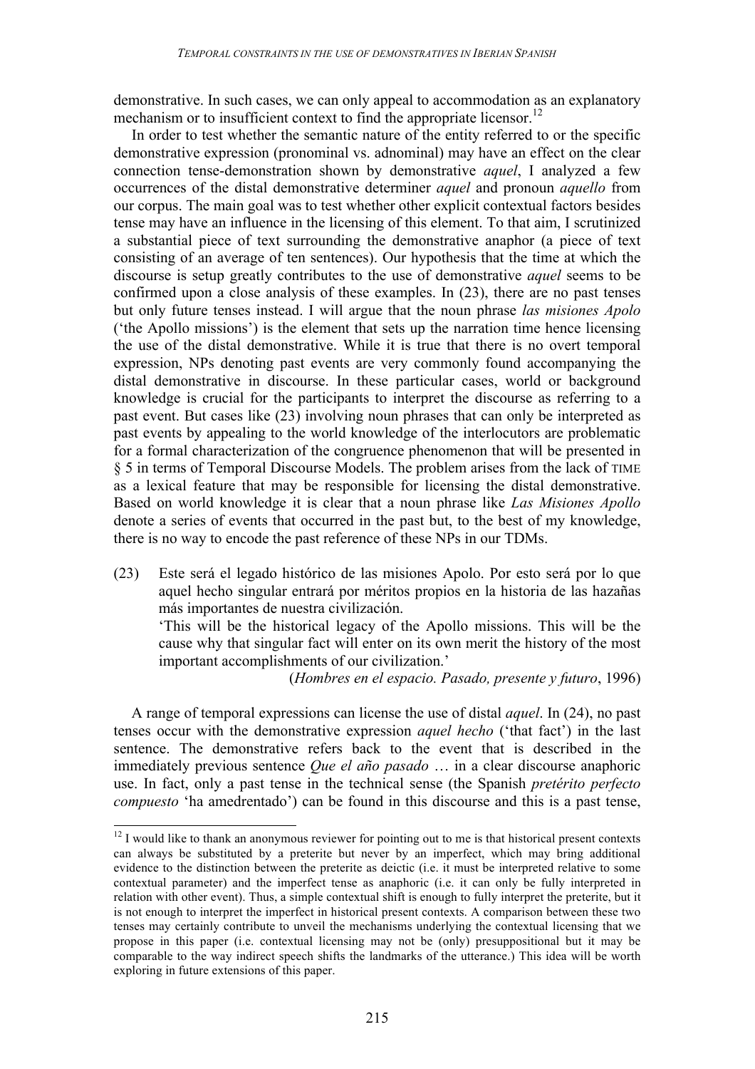demonstrative. In such cases, we can only appeal to accommodation as an explanatory mechanism or to insufficient context to find the appropriate licensor.<sup>12</sup>

In order to test whether the semantic nature of the entity referred to or the specific demonstrative expression (pronominal vs. adnominal) may have an effect on the clear connection tense-demonstration shown by demonstrative *aquel*, I analyzed a few occurrences of the distal demonstrative determiner *aquel* and pronoun *aquello* from our corpus. The main goal was to test whether other explicit contextual factors besides tense may have an influence in the licensing of this element. To that aim, I scrutinized a substantial piece of text surrounding the demonstrative anaphor (a piece of text consisting of an average of ten sentences). Our hypothesis that the time at which the discourse is setup greatly contributes to the use of demonstrative *aquel* seems to be confirmed upon a close analysis of these examples. In (23), there are no past tenses but only future tenses instead. I will argue that the noun phrase *las misiones Apolo* ('the Apollo missions') is the element that sets up the narration time hence licensing the use of the distal demonstrative. While it is true that there is no overt temporal expression, NPs denoting past events are very commonly found accompanying the distal demonstrative in discourse. In these particular cases, world or background knowledge is crucial for the participants to interpret the discourse as referring to a past event. But cases like (23) involving noun phrases that can only be interpreted as past events by appealing to the world knowledge of the interlocutors are problematic for a formal characterization of the congruence phenomenon that will be presented in § 5 in terms of Temporal Discourse Models. The problem arises from the lack of TIME as a lexical feature that may be responsible for licensing the distal demonstrative. Based on world knowledge it is clear that a noun phrase like *Las Misiones Apollo* denote a series of events that occurred in the past but, to the best of my knowledge, there is no way to encode the past reference of these NPs in our TDMs.

(23) Este será el legado histórico de las misiones Apolo. Por esto será por lo que aquel hecho singular entrará por méritos propios en la historia de las hazañas más importantes de nuestra civilización.

'This will be the historical legacy of the Apollo missions. This will be the cause why that singular fact will enter on its own merit the history of the most important accomplishments of our civilization.'

(*Hombres en el espacio. Pasado, presente y futuro*, 1996)

A range of temporal expressions can license the use of distal *aquel*. In (24), no past tenses occur with the demonstrative expression *aquel hecho* ('that fact') in the last sentence. The demonstrative refers back to the event that is described in the immediately previous sentence *Que el año pasado* … in a clear discourse anaphoric use. In fact, only a past tense in the technical sense (the Spanish *pretérito perfecto compuesto* 'ha amedrentado') can be found in this discourse and this is a past tense,

<sup>&</sup>lt;sup>12</sup> I would like to thank an anonymous reviewer for pointing out to me is that historical present contexts can always be substituted by a preterite but never by an imperfect, which may bring additional evidence to the distinction between the preterite as deictic (i.e. it must be interpreted relative to some contextual parameter) and the imperfect tense as anaphoric (i.e. it can only be fully interpreted in relation with other event). Thus, a simple contextual shift is enough to fully interpret the preterite, but it is not enough to interpret the imperfect in historical present contexts. A comparison between these two tenses may certainly contribute to unveil the mechanisms underlying the contextual licensing that we propose in this paper (i.e. contextual licensing may not be (only) presuppositional but it may be comparable to the way indirect speech shifts the landmarks of the utterance.) This idea will be worth exploring in future extensions of this paper.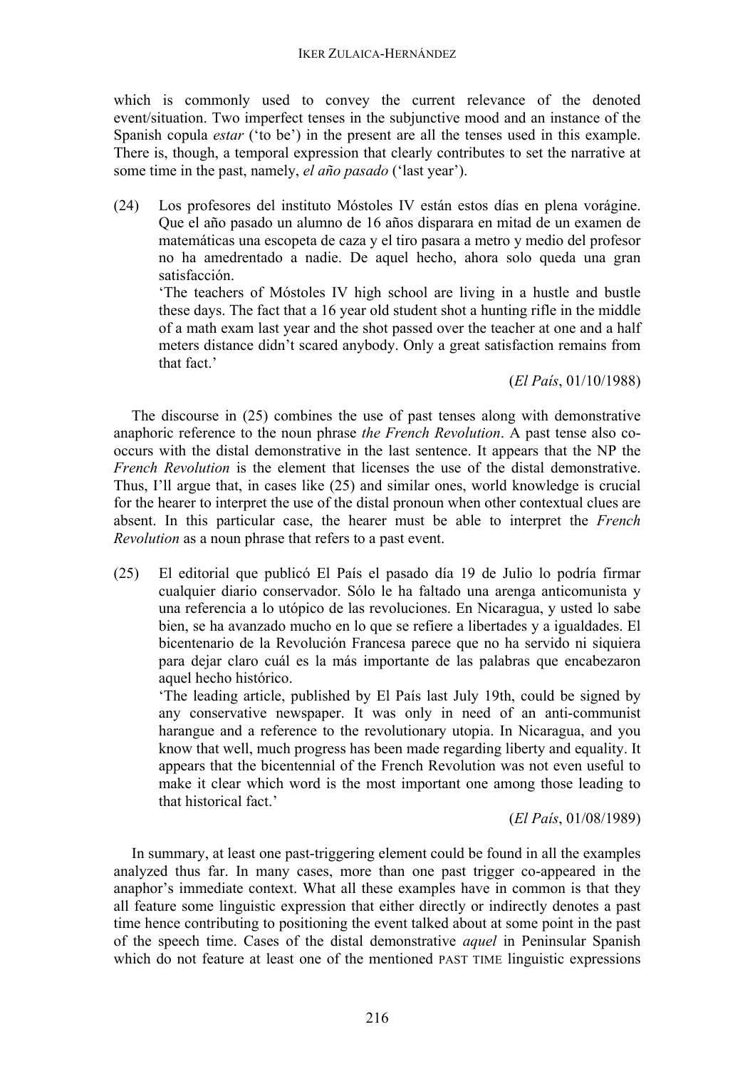which is commonly used to convey the current relevance of the denoted event/situation. Two imperfect tenses in the subjunctive mood and an instance of the Spanish copula *estar* ('to be') in the present are all the tenses used in this example. There is, though, a temporal expression that clearly contributes to set the narrative at some time in the past, namely, *el año pasado* ('last year').

(24) Los profesores del instituto Móstoles IV están estos días en plena vorágine. Que el año pasado un alumno de 16 años disparara en mitad de un examen de matemáticas una escopeta de caza y el tiro pasara a metro y medio del profesor no ha amedrentado a nadie. De aquel hecho, ahora solo queda una gran satisfacción.

'The teachers of Móstoles IV high school are living in a hustle and bustle these days. The fact that a 16 year old student shot a hunting rifle in the middle of a math exam last year and the shot passed over the teacher at one and a half meters distance didn't scared anybody. Only a great satisfaction remains from that fact.'

(*El País*, 01/10/1988)

The discourse in (25) combines the use of past tenses along with demonstrative anaphoric reference to the noun phrase *the French Revolution*. A past tense also cooccurs with the distal demonstrative in the last sentence. It appears that the NP the *French Revolution* is the element that licenses the use of the distal demonstrative. Thus, I'll argue that, in cases like (25) and similar ones, world knowledge is crucial for the hearer to interpret the use of the distal pronoun when other contextual clues are absent. In this particular case, the hearer must be able to interpret the *French Revolution* as a noun phrase that refers to a past event.

(25) El editorial que publicó El País el pasado día 19 de Julio lo podría firmar cualquier diario conservador. Sólo le ha faltado una arenga anticomunista y una referencia a lo utópico de las revoluciones. En Nicaragua, y usted lo sabe bien, se ha avanzado mucho en lo que se refiere a libertades y a igualdades. El bicentenario de la Revolución Francesa parece que no ha servido ni siquiera para dejar claro cuál es la más importante de las palabras que encabezaron aquel hecho histórico.

'The leading article, published by El País last July 19th, could be signed by any conservative newspaper. It was only in need of an anti-communist harangue and a reference to the revolutionary utopia. In Nicaragua, and you know that well, much progress has been made regarding liberty and equality. It appears that the bicentennial of the French Revolution was not even useful to make it clear which word is the most important one among those leading to that historical fact.'

(*El País*, 01/08/1989)

In summary, at least one past-triggering element could be found in all the examples analyzed thus far. In many cases, more than one past trigger co-appeared in the anaphor's immediate context. What all these examples have in common is that they all feature some linguistic expression that either directly or indirectly denotes a past time hence contributing to positioning the event talked about at some point in the past of the speech time. Cases of the distal demonstrative *aquel* in Peninsular Spanish which do not feature at least one of the mentioned PAST TIME linguistic expressions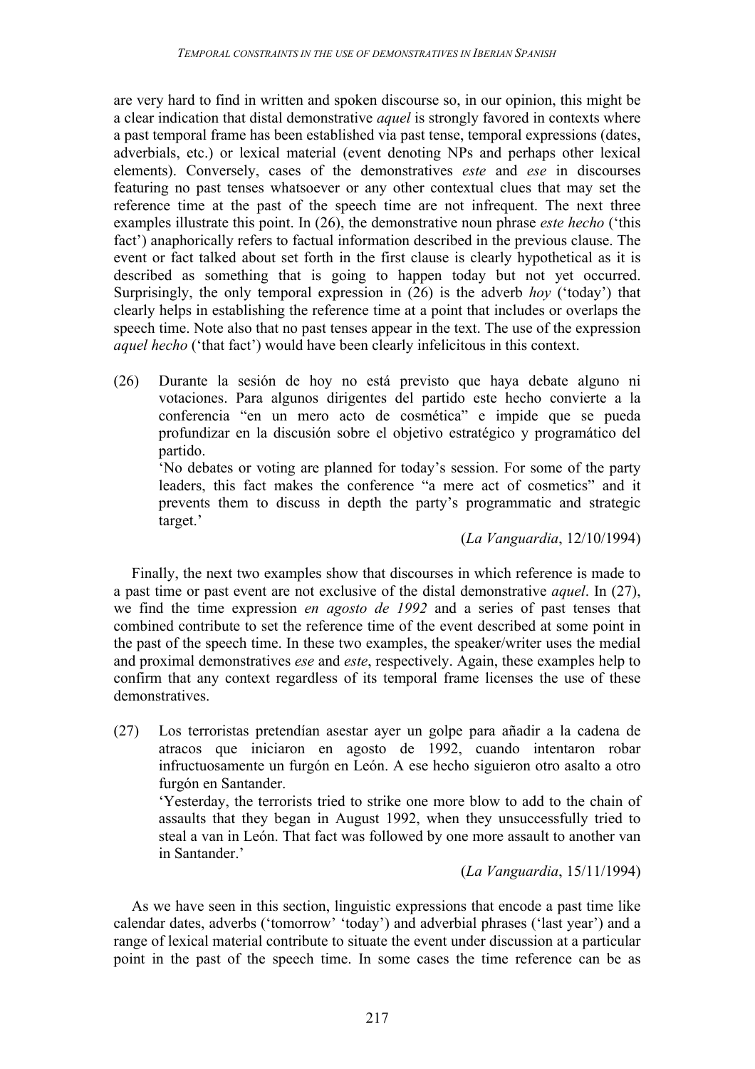are very hard to find in written and spoken discourse so, in our opinion, this might be a clear indication that distal demonstrative *aquel* is strongly favored in contexts where a past temporal frame has been established via past tense, temporal expressions (dates, adverbials, etc.) or lexical material (event denoting NPs and perhaps other lexical elements). Conversely, cases of the demonstratives *este* and *ese* in discourses featuring no past tenses whatsoever or any other contextual clues that may set the reference time at the past of the speech time are not infrequent. The next three examples illustrate this point. In (26), the demonstrative noun phrase *este hecho* ('this fact') anaphorically refers to factual information described in the previous clause. The event or fact talked about set forth in the first clause is clearly hypothetical as it is described as something that is going to happen today but not yet occurred. Surprisingly, the only temporal expression in (26) is the adverb *hoy* ('today') that clearly helps in establishing the reference time at a point that includes or overlaps the speech time. Note also that no past tenses appear in the text. The use of the expression *aquel hecho* ('that fact') would have been clearly infelicitous in this context.

(26) Durante la sesión de hoy no está previsto que haya debate alguno ni votaciones. Para algunos dirigentes del partido este hecho convierte a la conferencia "en un mero acto de cosmética" e impide que se pueda profundizar en la discusión sobre el objetivo estratégico y programático del partido.

'No debates or voting are planned for today's session. For some of the party leaders, this fact makes the conference "a mere act of cosmetics" and it prevents them to discuss in depth the party's programmatic and strategic target.'

(*La Vanguardia*, 12/10/1994)

Finally, the next two examples show that discourses in which reference is made to a past time or past event are not exclusive of the distal demonstrative *aquel*. In (27), we find the time expression *en agosto de 1992* and a series of past tenses that combined contribute to set the reference time of the event described at some point in the past of the speech time. In these two examples, the speaker/writer uses the medial and proximal demonstratives *ese* and *este*, respectively. Again, these examples help to confirm that any context regardless of its temporal frame licenses the use of these demonstratives.

(27) Los terroristas pretendían asestar ayer un golpe para añadir a la cadena de atracos que iniciaron en agosto de 1992, cuando intentaron robar infructuosamente un furgón en León. A ese hecho siguieron otro asalto a otro furgón en Santander.

'Yesterday, the terrorists tried to strike one more blow to add to the chain of assaults that they began in August 1992, when they unsuccessfully tried to steal a van in León. That fact was followed by one more assault to another van in Santander.'

(*La Vanguardia*, 15/11/1994)

As we have seen in this section, linguistic expressions that encode a past time like calendar dates, adverbs ('tomorrow' 'today') and adverbial phrases ('last year') and a range of lexical material contribute to situate the event under discussion at a particular point in the past of the speech time. In some cases the time reference can be as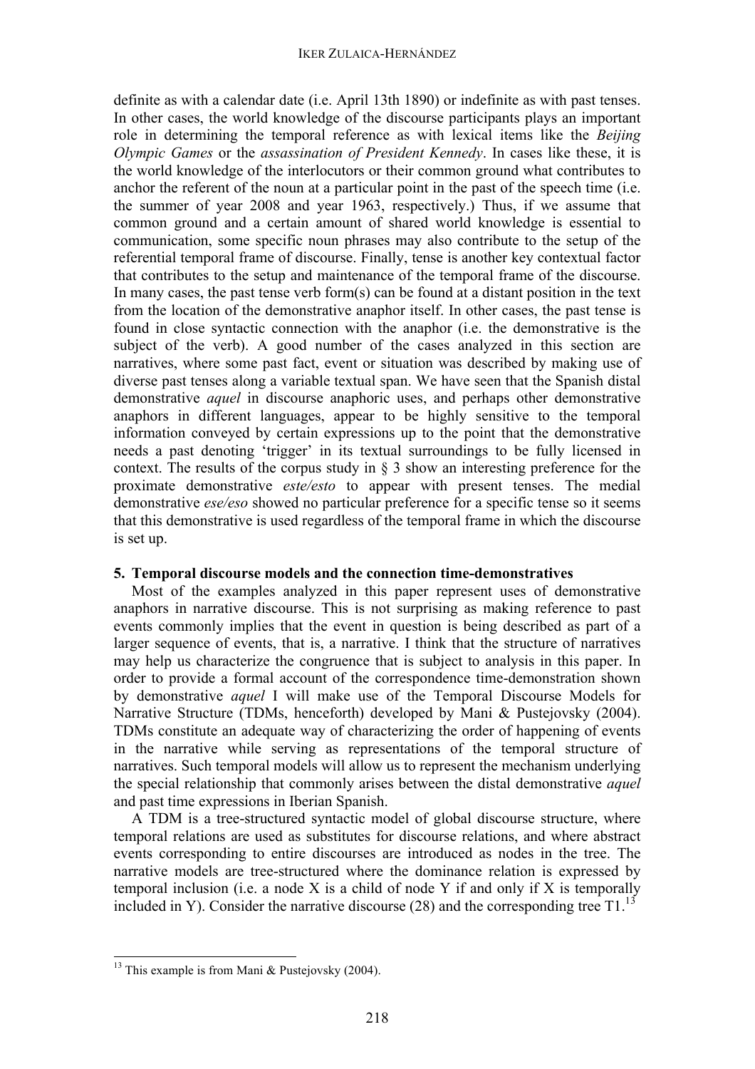definite as with a calendar date (i.e. April 13th 1890) or indefinite as with past tenses. In other cases, the world knowledge of the discourse participants plays an important role in determining the temporal reference as with lexical items like the *Beijing Olympic Games* or the *assassination of President Kennedy*. In cases like these, it is the world knowledge of the interlocutors or their common ground what contributes to anchor the referent of the noun at a particular point in the past of the speech time (i.e. the summer of year 2008 and year 1963, respectively.) Thus, if we assume that common ground and a certain amount of shared world knowledge is essential to communication, some specific noun phrases may also contribute to the setup of the referential temporal frame of discourse. Finally, tense is another key contextual factor that contributes to the setup and maintenance of the temporal frame of the discourse. In many cases, the past tense verb form(s) can be found at a distant position in the text from the location of the demonstrative anaphor itself. In other cases, the past tense is found in close syntactic connection with the anaphor (i.e. the demonstrative is the subject of the verb). A good number of the cases analyzed in this section are narratives, where some past fact, event or situation was described by making use of diverse past tenses along a variable textual span. We have seen that the Spanish distal demonstrative *aquel* in discourse anaphoric uses, and perhaps other demonstrative anaphors in different languages, appear to be highly sensitive to the temporal information conveyed by certain expressions up to the point that the demonstrative needs a past denoting 'trigger' in its textual surroundings to be fully licensed in context. The results of the corpus study in § 3 show an interesting preference for the proximate demonstrative *este/esto* to appear with present tenses. The medial demonstrative *ese/eso* showed no particular preference for a specific tense so it seems that this demonstrative is used regardless of the temporal frame in which the discourse is set up.

### **5. Temporal discourse models and the connection time-demonstratives**

Most of the examples analyzed in this paper represent uses of demonstrative anaphors in narrative discourse. This is not surprising as making reference to past events commonly implies that the event in question is being described as part of a larger sequence of events, that is, a narrative. I think that the structure of narratives may help us characterize the congruence that is subject to analysis in this paper. In order to provide a formal account of the correspondence time-demonstration shown by demonstrative *aquel* I will make use of the Temporal Discourse Models for Narrative Structure (TDMs, henceforth) developed by Mani & Pustejovsky (2004). TDMs constitute an adequate way of characterizing the order of happening of events in the narrative while serving as representations of the temporal structure of narratives. Such temporal models will allow us to represent the mechanism underlying the special relationship that commonly arises between the distal demonstrative *aquel* and past time expressions in Iberian Spanish.

A TDM is a tree-structured syntactic model of global discourse structure, where temporal relations are used as substitutes for discourse relations, and where abstract events corresponding to entire discourses are introduced as nodes in the tree. The narrative models are tree-structured where the dominance relation is expressed by temporal inclusion (i.e. a node X is a child of node Y if and only if X is temporally included in Y). Consider the narrative discourse (28) and the corresponding tree  $T1$ .<sup>13</sup>

<sup>&</sup>lt;sup>13</sup> This example is from Mani & Pustejovsky (2004).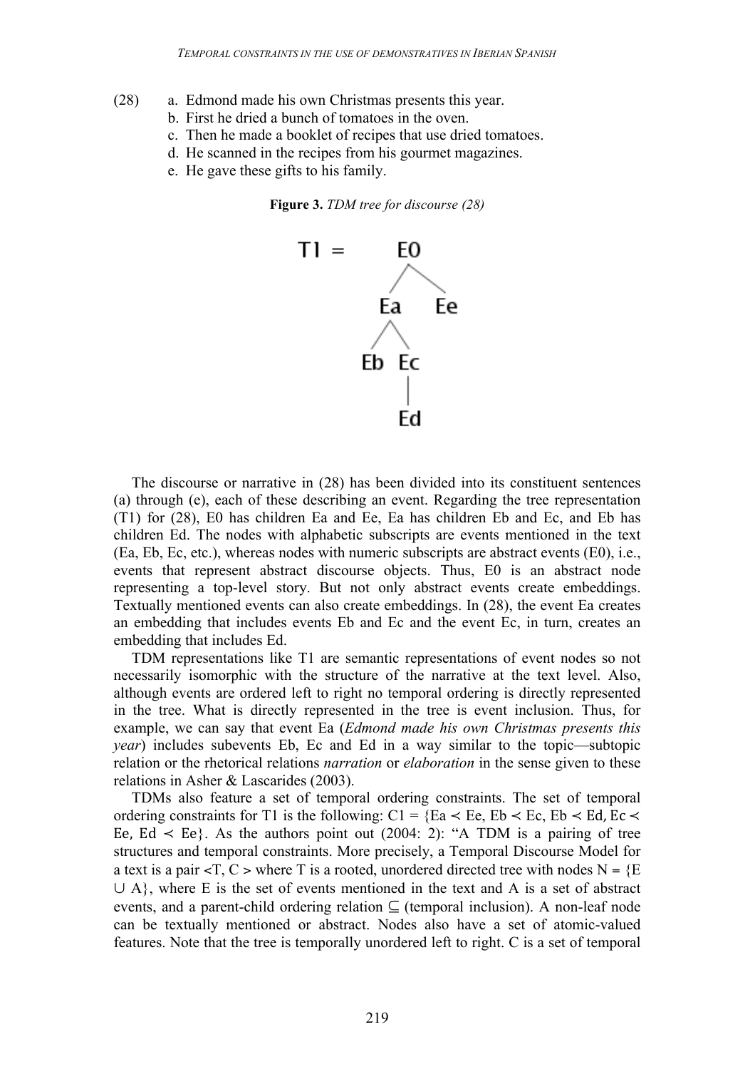- (28) a. Edmond made his own Christmas presents this year.
	- b. First he dried a bunch of tomatoes in the oven.
	- c. Then he made a booklet of recipes that use dried tomatoes.
	- d. He scanned in the recipes from his gourmet magazines.
	- e. He gave these gifts to his family.





The discourse or narrative in (28) has been divided into its constituent sentences (a) through (e), each of these describing an event. Regarding the tree representation (T1) for (28), E0 has children Ea and Ee, Ea has children Eb and Ec, and Eb has children Ed. The nodes with alphabetic subscripts are events mentioned in the text (Ea, Eb, Ec, etc.), whereas nodes with numeric subscripts are abstract events (E0), i.e., events that represent abstract discourse objects. Thus, E0 is an abstract node representing a top-level story. But not only abstract events create embeddings. Textually mentioned events can also create embeddings. In (28), the event Ea creates an embedding that includes events Eb and Ec and the event Ec, in turn, creates an embedding that includes Ed.

TDM representations like T1 are semantic representations of event nodes so not necessarily isomorphic with the structure of the narrative at the text level. Also, although events are ordered left to right no temporal ordering is directly represented in the tree. What is directly represented in the tree is event inclusion. Thus, for example, we can say that event Ea (*Edmond made his own Christmas presents this year*) includes subevents Eb, Ec and Ed in a way similar to the topic—subtopic relation or the rhetorical relations *narration* or *elaboration* in the sense given to these relations in Asher & Lascarides (2003).

TDMs also feature a set of temporal ordering constraints. The set of temporal ordering constraints for T1 is the following: C1 = {Ea  $\lt$  Ee, Eb  $\lt$  Ec, Eb  $\lt$  Ed, Ec  $\lt$ Ee, Ed  $\leq$  Ee}. As the authors point out (2004: 2): "A TDM is a pairing of tree structures and temporal constraints. More precisely, a Temporal Discourse Model for a text is a pair  $\langle T, C \rangle$  where T is a rooted, unordered directed tree with nodes N =  $E$  $\cup$  A}, where E is the set of events mentioned in the text and A is a set of abstract events, and a parent-child ordering relation  $\subseteq$  (temporal inclusion). A non-leaf node can be textually mentioned or abstract. Nodes also have a set of atomic-valued features. Note that the tree is temporally unordered left to right. C is a set of temporal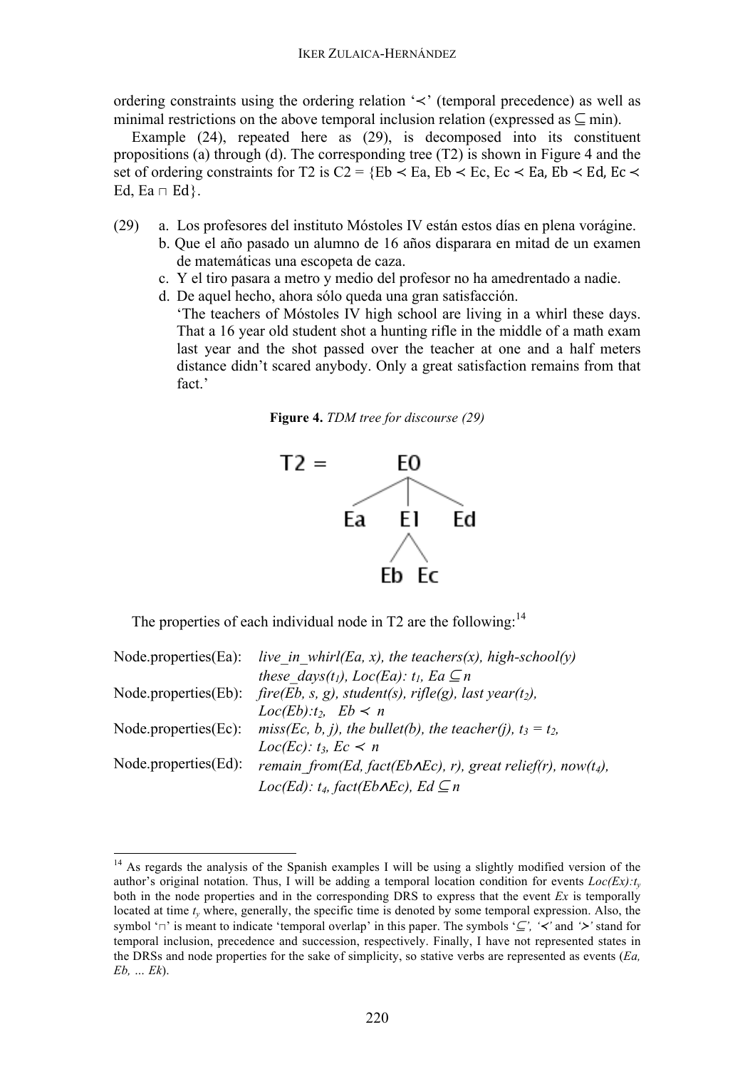ordering constraints using the ordering relation '≺' (temporal precedence) as well as minimal restrictions on the above temporal inclusion relation (expressed as  $\subseteq$  min).

Example (24), repeated here as (29), is decomposed into its constituent propositions (a) through (d). The corresponding tree (T2) is shown in Figure 4 and the set of ordering constraints for T2 is C2 = {Eb  $\prec$  Ea, Eb  $\prec$  Ec, Ec  $\prec$  Ea, Eb  $\prec$  Ed, Ec  $\prec$ Ed, Ea  $\sqcap$  Ed}.

- (29) a. Los profesores del instituto Móstoles IV están estos días en plena vorágine.
	- b. Que el año pasado un alumno de 16 años disparara en mitad de un examen de matemáticas una escopeta de caza.
	- c. Y el tiro pasara a metro y medio del profesor no ha amedrentado a nadie.
	- d. De aquel hecho, ahora sólo queda una gran satisfacción.

'The teachers of Móstoles IV high school are living in a whirl these days. That a 16 year old student shot a hunting rifle in the middle of a math exam last year and the shot passed over the teacher at one and a half meters distance didn't scared anybody. Only a great satisfaction remains from that fact.'





The properties of each individual node in  $T2$  are the following:<sup>14</sup>

|                         | Node properties (Ea): live in whirl (Ea, x), the teachers $(x)$ , high-school $(y)$        |
|-------------------------|--------------------------------------------------------------------------------------------|
|                         | these days(t <sub>1</sub> ), Loc(Ea): t <sub>1</sub> , Ea $\subseteq n$                    |
|                         | Node properties (Eb): $fire(Eb, s, g)$ , student(s), rifle(g), last year(t <sub>2</sub> ), |
|                         | $Loc(Eb):t_2, Eb \lt n$                                                                    |
|                         | Node properties (Ec): miss (Ec, b, j), the bullet (b), the teacher (j), $t_3 = t_2$ ,      |
|                         | $Loc(Ec): t_3, Ec < n$                                                                     |
| $Node.properties(Ed)$ : | remain from(Ed, fact(Eb $\triangle$ AEc), r), great relief(r), now(t <sub>4</sub> ),       |
|                         | Loc(Ed): $t_4$ , fact(Eb $\triangle$ AEc), Ed $\subseteq n$                                |

<sup>&</sup>lt;sup>14</sup> As regards the analysis of the Spanish examples I will be using a slightly modified version of the author's original notation. Thus, I will be adding a temporal location condition for events  $Loc(Ex):t<sub>v</sub>$ both in the node properties and in the corresponding DRS to express that the event *Ex* is temporally located at time  $t<sub>v</sub>$  where, generally, the specific time is denoted by some temporal expression. Also, the symbol '⊓' is meant to indicate 'temporal overlap' in this paper. The symbols '⊆*', '*≺*'* and *'*≻*'* stand for temporal inclusion, precedence and succession, respectively. Finally, I have not represented states in the DRSs and node properties for the sake of simplicity, so stative verbs are represented as events (*Ea, Eb, … Ek*).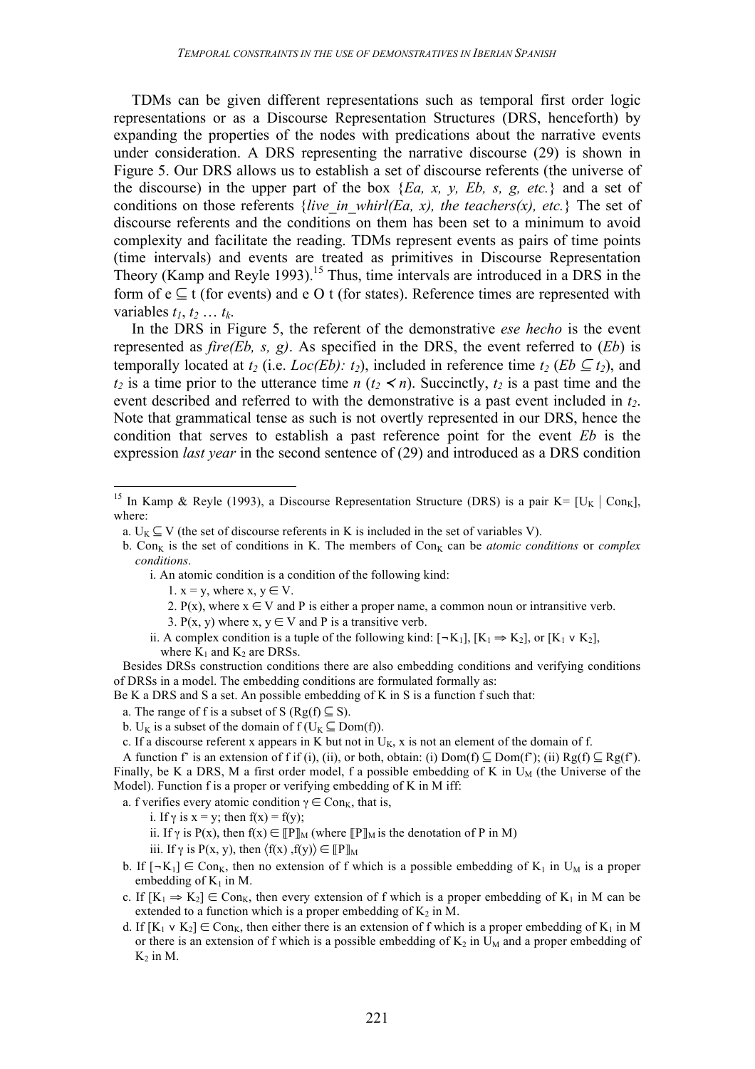TDMs can be given different representations such as temporal first order logic representations or as a Discourse Representation Structures (DRS, henceforth) by expanding the properties of the nodes with predications about the narrative events under consideration. A DRS representing the narrative discourse (29) is shown in Figure 5. Our DRS allows us to establish a set of discourse referents (the universe of the discourse) in the upper part of the box {*Ea, x, y, Eb, s, g, etc.*} and a set of conditions on those referents *{live\_in\_whirl(Ea, x), the teachers(x), etc.*} The set of discourse referents and the conditions on them has been set to a minimum to avoid complexity and facilitate the reading. TDMs represent events as pairs of time points (time intervals) and events are treated as primitives in Discourse Representation Theory (Kamp and Reyle 1993).<sup>15</sup> Thus, time intervals are introduced in a DRS in the form of  $e \subseteq t$  (for events) and e O t (for states). Reference times are represented with variables  $t_1, t_2, \ldots, t_k$ .

In the DRS in Figure 5, the referent of the demonstrative *ese hecho* is the event represented as *fire(Eb, s, g)*. As specified in the DRS, the event referred to (*Eb*) is temporally located at  $t_2$  (i.e. *Loc(Eb):*  $t_2$ ), included in reference time  $t_2$  (*Eb*  $\subseteq$   $t_2$ ), and  $t_2$  is a time prior to the utterance time *n* ( $t_2 < n$ ). Succinctly,  $t_2$  is a past time and the event described and referred to with the demonstrative is a past event included in  $t<sub>2</sub>$ . Note that grammatical tense as such is not overtly represented in our DRS, hence the condition that serves to establish a past reference point for the event *Eb* is the expression *last year* in the second sentence of (29) and introduced as a DRS condition

- b. Con<sub>K</sub> is the set of conditions in K. The members of Con<sub>K</sub> can be *atomic conditions* or *complex conditions*.
	- i. An atomic condition is a condition of the following kind:
		- 1.  $x = y$ , where  $x, y \in V$ .
		- 2. P(x), where  $x \in V$  and P is either a proper name, a common noun or intransitive verb.
		- 3. P(x, y) where x,  $y \in V$  and P is a transitive verb.
	- ii. A complex condition is a tuple of the following kind:  $[\neg K_1]$ ,  $[K_1 \Rightarrow K_2]$ , or  $[K_1 \vee K_2]$ , where  $K_1$  and  $K_2$  are DRSs.

Besides DRSs construction conditions there are also embedding conditions and verifying conditions of DRSs in a model. The embedding conditions are formulated formally as:

Be K a DRS and S a set. An possible embedding of K in S is a function f such that:

- a. The range of f is a subset of S ( $Rg(f) \subseteq S$ ).
- b. U<sub>K</sub> is a subset of the domain of  $f(U_K \subseteq Dom(f))$ .
- c. If a discourse referent x appears in K but not in  $U_K$ , x is not an element of the domain of f.

A function f' is an extension of f if (i), (ii), or both, obtain: (i)  $Dom(f) \subseteq Dom(f)$ ; (ii)  $Rg(f) \subseteq Rg(f)$ . Finally, be K a DRS, M a first order model, f a possible embedding of K in  $U_M$  (the Universe of the Model). Function f is a proper or verifying embedding of K in M iff:

a. f verifies every atomic condition  $\gamma \in \text{Con}_K$ , that is,

- i. If  $\gamma$  is  $x = y$ ; then  $f(x) = f(y)$ ;
- ii. If  $\gamma$  is P(x), then  $f(x) \in [P]_M$  (where  $[P]_M$  is the denotation of P in M)

iii. If  $\gamma$  is P(x, y), then  $\langle f(x), f(y) \rangle \in [P]_M$ 

- b. If  $[-K_1] \in \text{Con}_K$ , then no extension of f which is a possible embedding of  $K_1$  in  $U_M$  is a proper embedding of  $K_1$  in M.
- c. If  $[K_1 \Rightarrow K_2] \in Con_K$ , then every extension of f which is a proper embedding of  $K_1$  in M can be extended to a function which is a proper embedding of  $K_2$  in M.
- d. If  $[K_1 \vee K_2] \in \text{Con}_K$ , then either there is an extension of f which is a proper embedding of  $K_1$  in M or there is an extension of f which is a possible embedding of  $K_2$  in  $U_M$  and a proper embedding of  $K<sub>2</sub>$  in M.

<sup>&</sup>lt;sup>15</sup> In Kamp & Reyle (1993), a Discourse Representation Structure (DRS) is a pair K= [U<sub>K</sub> | Con<sub>K</sub>], where:

a.  $U_K \subseteq V$  (the set of discourse referents in K is included in the set of variables V).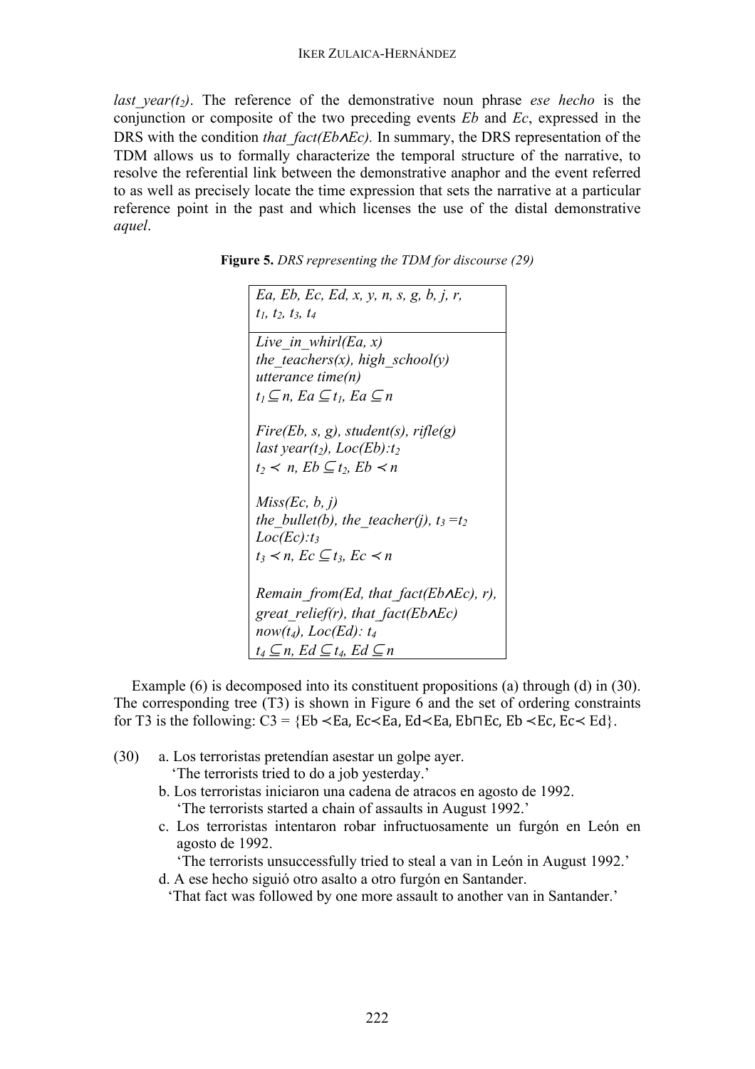*last year(t<sub>2</sub>)*. The reference of the demonstrative noun phrase *ese hecho* is the conjunction or composite of the two preceding events *Eb* and *Ec*, expressed in the DRS with the condition *that fact(Eb∧Ec)*. In summary, the DRS representation of the TDM allows us to formally characterize the temporal structure of the narrative, to resolve the referential link between the demonstrative anaphor and the event referred to as well as precisely locate the time expression that sets the narrative at a particular reference point in the past and which licenses the use of the distal demonstrative *aquel*.

| Ea, Eb, Ec, Ed, x, y, n, s, g, b, j, r,                   |
|-----------------------------------------------------------|
| $t_1$ , $t_2$ , $t_3$ , $t_4$                             |
| Live in whirl(Ea, x)                                      |
| the teachers(x), high school(y)                           |
| utterance time(n)                                         |
| $t_1 \subseteq n$ , Ea $\subseteq t_1$ , Ea $\subseteq n$ |
|                                                           |
| Fire(Eb, s, g), student(s), rifle(g)                      |
| last year(t <sub>2</sub> ), $Loc(Eb):t_2$                 |
| $t_2 \lt n$ , $Eb \subseteq t_2$ , $Eb \lt n$             |
| Miss(Ec, b, j)                                            |
| the bullet(b), the teacher(j), $t_3 = t_2$                |
| $Loc(Ec):t_3$                                             |
| $t_3 \prec n$ , $Ec \subseteq t_3$ , $Ec \prec n$         |
|                                                           |
| Remain from(Ed, that fact(Eb $\triangle$ AEc), r),        |
| great relief(r), that fact(Eb $\Lambda$ Ec)               |
| now(t <sub>4</sub> ), $Loc(Ed): t_4$                      |
| $t_4 \subseteq n$ , Ed $\subseteq t_4$ , Ed $\subseteq n$ |

**Figure 5.** *DRS representing the TDM for discourse (29)*

Example (6) is decomposed into its constituent propositions (a) through (d) in (30). The corresponding tree (T3) is shown in Figure 6 and the set of ordering constraints for T3 is the following: C3 = {Eb  $\leq$ Ea, Ec $\leq$ Ea, Ed $\leq$ Ea, Eb $\leq$ Ec, Ec $\leq$ Ed}.

- (30) a. Los terroristas pretendían asestar un golpe ayer.
	- 'The terrorists tried to do a job yesterday.'
	- b. Los terroristas iniciaron una cadena de atracos en agosto de 1992. 'The terrorists started a chain of assaults in August 1992.'
	- c. Los terroristas intentaron robar infructuosamente un furgón en León en agosto de 1992.

'The terrorists unsuccessfully tried to steal a van in León in August 1992.'

d. A ese hecho siguió otro asalto a otro furgón en Santander.

'That fact was followed by one more assault to another van in Santander.'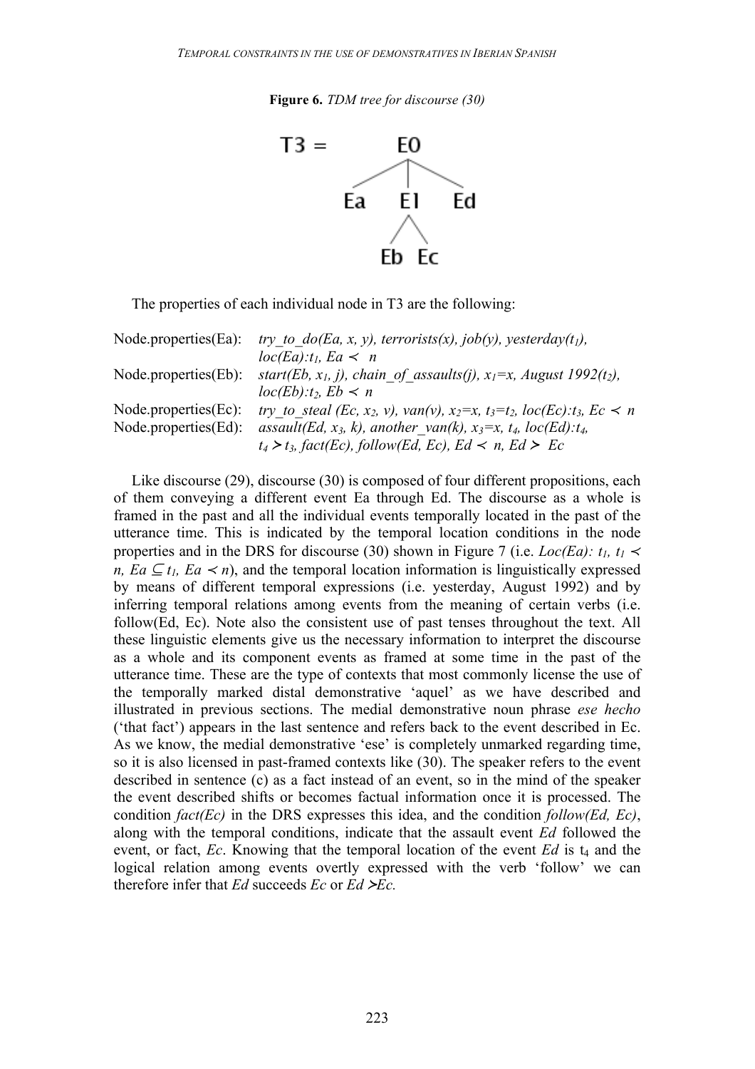**Figure 6.** *TDM tree for discourse (30)*



The properties of each individual node in T3 are the following:

| $Node.properties(Ea)$ : | try to $do(Ea, x, y)$ , terrorists(x), job(y), yesterday(t <sub>1</sub> ),                                                         |
|-------------------------|------------------------------------------------------------------------------------------------------------------------------------|
|                         | $loc(Ea):t_1, Ea \lt n$                                                                                                            |
| $Node.properties(Eb)$ : | start(Eb, $x_1$ , j), chain of assaults(j), $x_1=x$ , August 1992(t <sub>2</sub> ),                                                |
|                         | $loc(Eb):t_2, Eb \lt n$                                                                                                            |
| $Node.properties(Ec)$ : | try to steal (Ec, x <sub>2</sub> , v), van(v), x <sub>2</sub> =x, t <sub>3</sub> =t <sub>2</sub> , loc(Ec):t <sub>3</sub> , Ec < n |
| $Node.properties(Ed)$ : | assault(Ed, x <sub>3</sub> , k), another van(k), x <sub>3</sub> =x, t <sub>4</sub> , loc(Ed):t <sub>4</sub> ,                      |
|                         | $t_4 > t_3$ , fact(Ec), follow(Ed, Ec), Ed < n, Ed > Ec                                                                            |

Like discourse (29), discourse (30) is composed of four different propositions, each of them conveying a different event Ea through Ed. The discourse as a whole is framed in the past and all the individual events temporally located in the past of the utterance time. This is indicated by the temporal location conditions in the node properties and in the DRS for discourse (30) shown in Figure 7 (i.e. *Loc(Ea): t<sub>1</sub>*,  $t_1$  < *n, Ea*  $\subseteq$  *t<sub>1</sub>, Ea*  $\lt$ *n*), and the temporal location information is linguistically expressed by means of different temporal expressions (i.e. yesterday, August 1992) and by inferring temporal relations among events from the meaning of certain verbs (i.e. follow(Ed, Ec). Note also the consistent use of past tenses throughout the text. All these linguistic elements give us the necessary information to interpret the discourse as a whole and its component events as framed at some time in the past of the utterance time. These are the type of contexts that most commonly license the use of the temporally marked distal demonstrative 'aquel' as we have described and illustrated in previous sections. The medial demonstrative noun phrase *ese hecho* ('that fact') appears in the last sentence and refers back to the event described in Ec. As we know, the medial demonstrative 'ese' is completely unmarked regarding time, so it is also licensed in past-framed contexts like (30). The speaker refers to the event described in sentence (c) as a fact instead of an event, so in the mind of the speaker the event described shifts or becomes factual information once it is processed. The condition *fact(Ec)* in the DRS expresses this idea, and the condition *follow(Ed, Ec)*, along with the temporal conditions, indicate that the assault event *Ed* followed the event, or fact,  $Ec$ . Knowing that the temporal location of the event  $Ed$  is  $t_4$  and the logical relation among events overtly expressed with the verb 'follow' we can therefore infer that  $Ed$  succeeds  $Ec$  or  $Ed \geq Ec$ .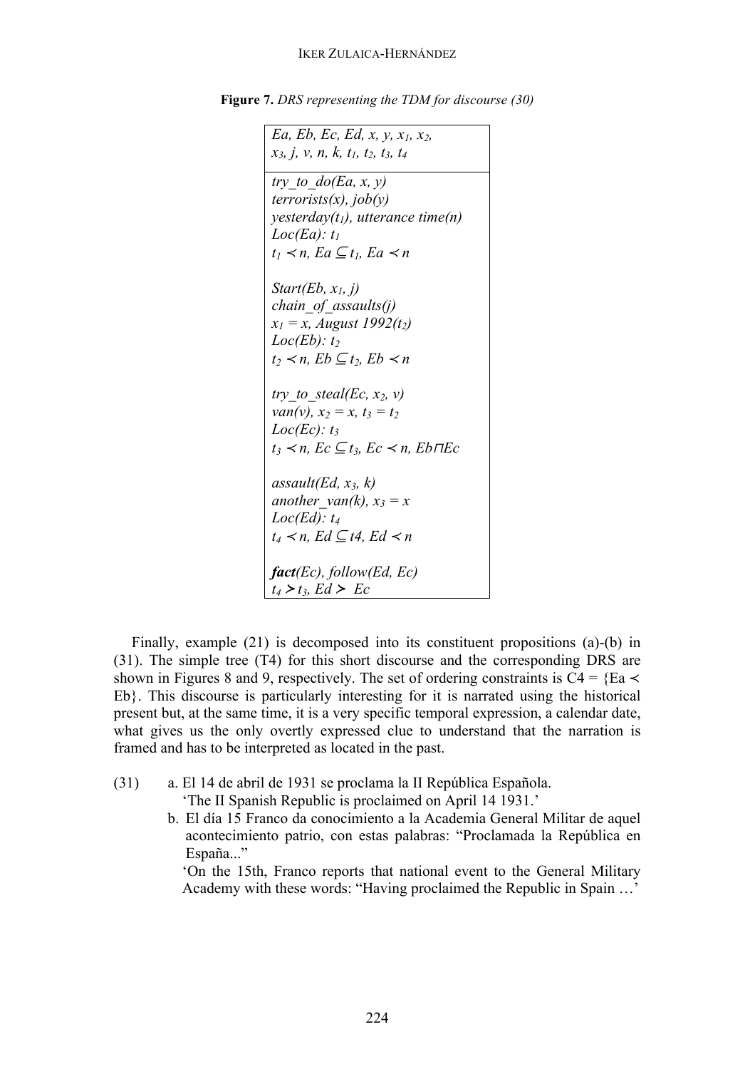**Figure 7.** *DRS representing the TDM for discourse (30)*

```
Ea, Eb, Ec, Ed, x, y, x1, x2,
x3, j, v, n, k, t1, t2, t3, t4
try to do(Ea, x, y)terrorists(x), job(y)
yesterday(t1), utterance time(n)
Loc(Ea): t1
t_1 \prec n, E_a \subseteq t_1, E_a \prec nStart(Eb, x1, j)
chain_of_assaults(j)
x_1 = x, August 1992(t<sub>2</sub>)
Loc(Eb): t2
t_2 \prec n, Eb \subset t_2, Eb \prec ntry to steal(Ec, x<sub>2</sub>, v)
van(v), x<sub>2</sub> = x, t<sub>3</sub> = t<sub>2</sub>
Loc(Ec): t_3t3 ≺ n, Ec ⊆ t3, Ec ≺ n, Eb⊓Ec
assault(Ed, x_3, k)another van(k), x_3 = xLoc(Ed): t4
t_4 \prec n, Ed \subseteq t4, Ed \prec nfact(Ec), follow(Ed, Ec)
t_4 > t_3, Ed > Ec
```
Finally, example (21) is decomposed into its constituent propositions (a)-(b) in (31). The simple tree (T4) for this short discourse and the corresponding DRS are shown in Figures 8 and 9, respectively. The set of ordering constraints is C4 =  $\{Ea \prec$ Eb}. This discourse is particularly interesting for it is narrated using the historical present but, at the same time, it is a very specific temporal expression, a calendar date, what gives us the only overtly expressed clue to understand that the narration is framed and has to be interpreted as located in the past.

- (31) a. El 14 de abril de 1931 se proclama la II República Española. 'The II Spanish Republic is proclaimed on April 14 1931.'
	- b. El día 15 Franco da conocimiento a la Academia General Militar de aquel acontecimiento patrio, con estas palabras: "Proclamada la República en España..."

'On the 15th, Franco reports that national event to the General Military Academy with these words: "Having proclaimed the Republic in Spain …'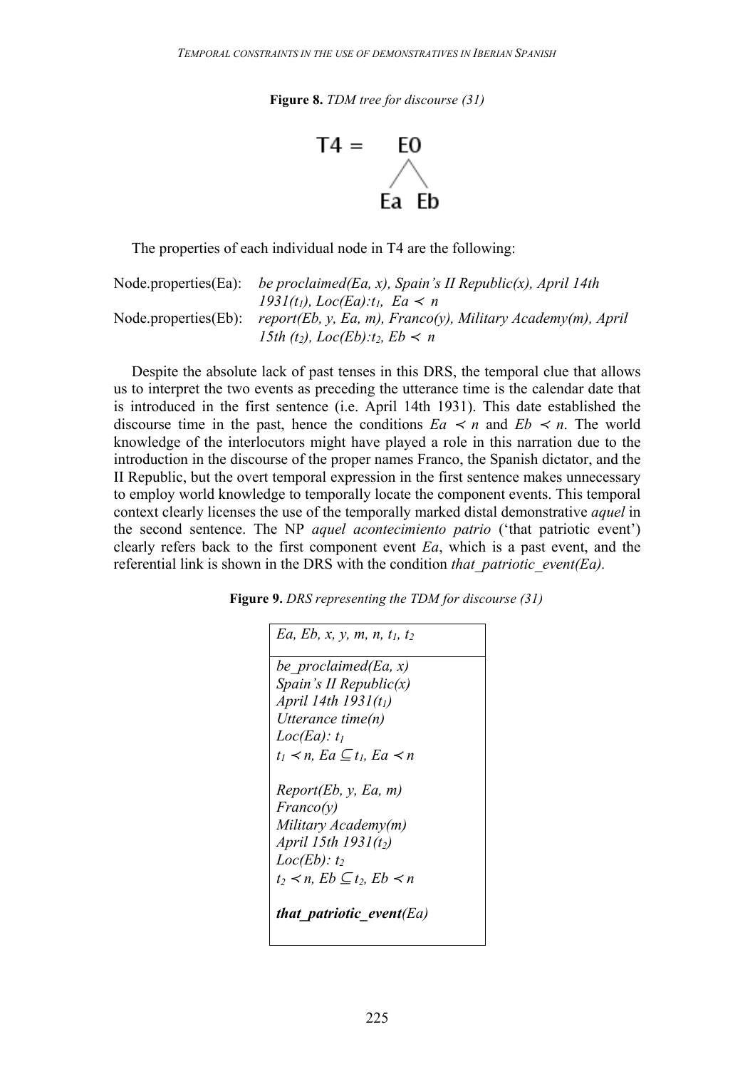**Figure 8.** *TDM tree for discourse (31)*



The properties of each individual node in T4 are the following:

Node.properties(Ea): *be proclaimed(Ea, x), Spain's II Republic(x), April 14th*   $1931(t_1)$ ,  $Loc(Ea):t_1$ ,  $Ea \le n$ Node.properties(Eb): *report(Eb, y, Ea, m), Franco(y), Military Academy(m), April 15th (t<sub>2</sub>), Loc(Eb):t<sub>2</sub>, Eb < n* 

Despite the absolute lack of past tenses in this DRS, the temporal clue that allows us to interpret the two events as preceding the utterance time is the calendar date that is introduced in the first sentence (i.e. April 14th 1931). This date established the discourse time in the past, hence the conditions  $Ea \le n$  and  $Eb \le n$ . The world knowledge of the interlocutors might have played a role in this narration due to the introduction in the discourse of the proper names Franco, the Spanish dictator, and the II Republic, but the overt temporal expression in the first sentence makes unnecessary to employ world knowledge to temporally locate the component events. This temporal context clearly licenses the use of the temporally marked distal demonstrative *aquel* in the second sentence. The NP *aquel acontecimiento patrio* ('that patriotic event') clearly refers back to the first component event *Ea*, which is a past event, and the referential link is shown in the DRS with the condition *that\_patriotic\_event(Ea).*

**Figure 9.** *DRS representing the TDM for discourse (31)*

| Ea, Eb, x, y, m, n, $t_1$ , $t_2$                 |
|---------------------------------------------------|
| be proclaimed(Ea, x)                              |
| Spain's II Republic $(x)$                         |
| April 14th $1931(t_1)$                            |
| Utterance time(n)                                 |
| $Loc(Ea): t_1$                                    |
| $t_1 \prec n$ , Ea $\subseteq t_1$ , Ea $\prec n$ |
|                                                   |
| Report(Eb, y, Ea, m)                              |
| Franco(y)                                         |
| Military Academy(m)                               |
| April 15th $1931(t_2)$                            |
| $Loc(Eb): t_2$                                    |
| $t_2 \prec n$ , $Eb \subseteq t_2$ , $Eb \prec n$ |
| that patriotic event(Ea)                          |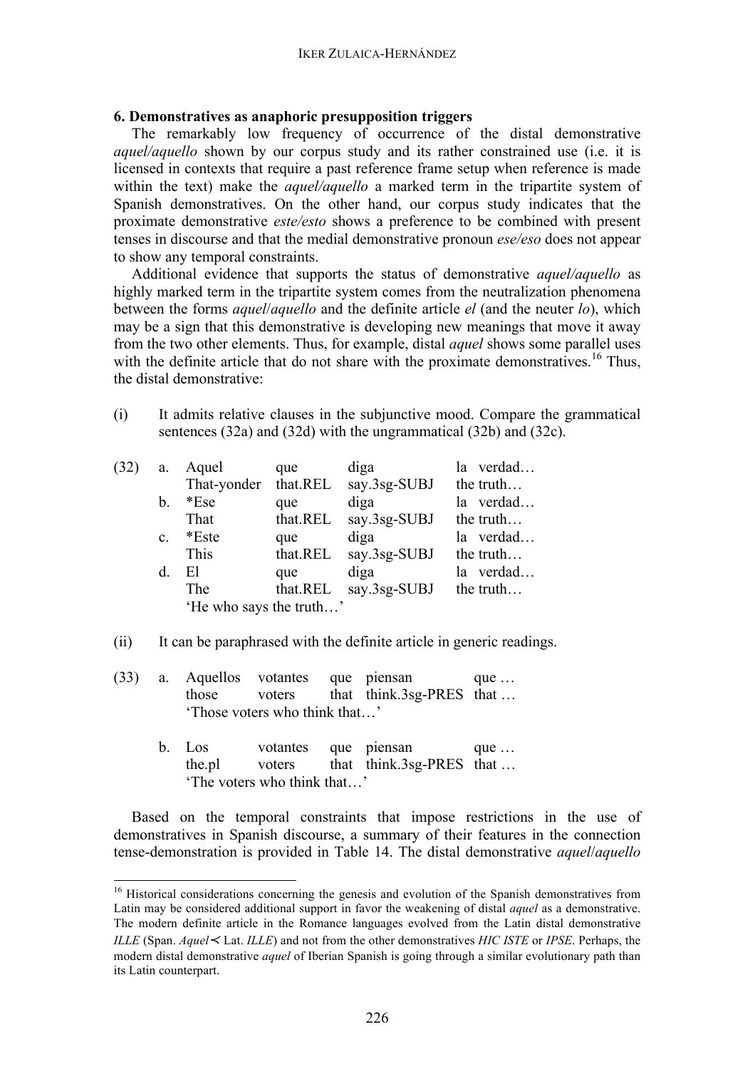# **6. Demonstratives as anaphoric presupposition triggers**

The remarkably low frequency of occurrence of the distal demonstrative *aquel/aquello* shown by our corpus study and its rather constrained use (i.e. it is licensed in contexts that require a past reference frame setup when reference is made within the text) make the *aquel/aquello* a marked term in the tripartite system of Spanish demonstratives. On the other hand, our corpus study indicates that the proximate demonstrative *este/esto* shows a preference to be combined with present tenses in discourse and that the medial demonstrative pronoun *ese/eso* does not appear to show any temporal constraints.

Additional evidence that supports the status of demonstrative *aquel/aquello* as highly marked term in the tripartite system comes from the neutralization phenomena between the forms *aquel*/*aquello* and the definite article *el* (and the neuter *lo*), which may be a sign that this demonstrative is developing new meanings that move it away from the two other elements. Thus, for example, distal *aquel* shows some parallel uses with the definite article that do not share with the proximate demonstratives.<sup>16</sup> Thus, the distal demonstrative:

(i) It admits relative clauses in the subjunctive mood. Compare the grammatical sentences (32a) and (32d) with the ungrammatical (32b) and (32c).

| (32) | a.             | Aquel                   | que      | diga         | la verdad |
|------|----------------|-------------------------|----------|--------------|-----------|
|      |                | That-yonder             | that.REL | say.3sg-SUBJ | the truth |
|      | b.             | $*Ese$                  | que      | diga         | la verdad |
|      |                | That                    | that.REL | say.3sg-SUBJ | the truth |
|      | $\mathbf{c}$ . | *Este                   | que      | diga         | la verdad |
|      |                | This                    | that.REL | say.3sg-SUBJ | the truth |
|      | d.             | El                      | que      | diga         | la verdad |
|      |                | The                     | that.REL | say.3sg-SUBJ | the truth |
|      |                | 'He who says the truth' |          |              |           |
|      |                |                         |          |              |           |

- (ii) It can be paraphrased with the definite article in generic readings.
- (33) a. Aquellos votantes que piensan que … those voters that think.3sg-PRES that … 'Those voters who think that…'
	- b. Los votantes que piensan que ... the.pl voters that think.3sg-PRES that ... 'The voters who think that…'

Based on the temporal constraints that impose restrictions in the use of demonstratives in Spanish discourse, a summary of their features in the connection tense-demonstration is provided in Table 14. The distal demonstrative *aquel*/*aquello*

<sup>&</sup>lt;sup>16</sup> Historical considerations concerning the genesis and evolution of the Spanish demonstratives from Latin may be considered additional support in favor the weakening of distal *aquel* as a demonstrative. The modern definite article in the Romance languages evolved from the Latin distal demonstrative *ILLE* (Span. *Aquel*<sup>≺</sup> Lat. *ILLE*) and not from the other demonstratives *HIC ISTE* or *IPSE*. Perhaps, the modern distal demonstrative *aquel* of Iberian Spanish is going through a similar evolutionary path than its Latin counterpart.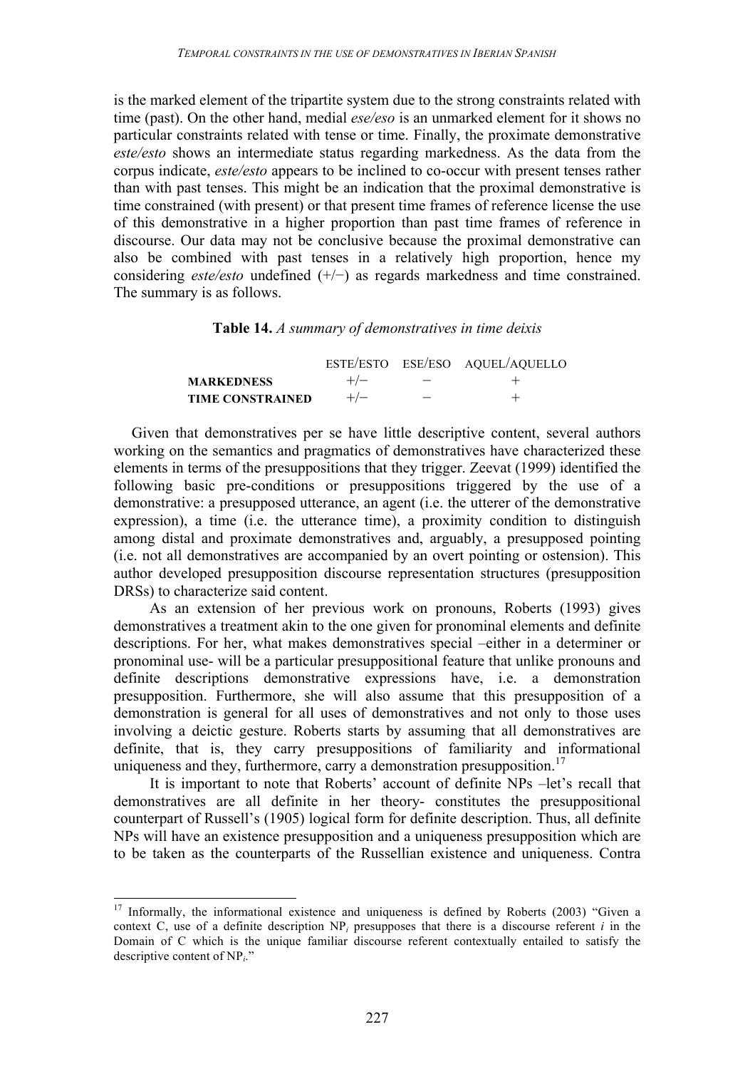is the marked element of the tripartite system due to the strong constraints related with time (past). On the other hand, medial *ese/eso* is an unmarked element for it shows no particular constraints related with tense or time. Finally, the proximate demonstrative *este/esto* shows an intermediate status regarding markedness. As the data from the corpus indicate, *este/esto* appears to be inclined to co-occur with present tenses rather than with past tenses. This might be an indication that the proximal demonstrative is time constrained (with present) or that present time frames of reference license the use of this demonstrative in a higher proportion than past time frames of reference in discourse. Our data may not be conclusive because the proximal demonstrative can also be combined with past tenses in a relatively high proportion, hence my considering *este/esto* undefined (+/−) as regards markedness and time constrained. The summary is as follows.

### **Table 14.** *A summary of demonstratives in time deixis*

|                         |       |             | ESTE/ESTO ESE/ESO AQUEL/AQUELLO |
|-------------------------|-------|-------------|---------------------------------|
| <b>MARKEDNESS</b>       | $+/-$ | $\sim$ $ -$ |                                 |
| <b>TIME CONSTRAINED</b> | $+/-$ |             |                                 |

Given that demonstratives per se have little descriptive content, several authors working on the semantics and pragmatics of demonstratives have characterized these elements in terms of the presuppositions that they trigger. Zeevat (1999) identified the following basic pre-conditions or presuppositions triggered by the use of a demonstrative: a presupposed utterance, an agent (i.e. the utterer of the demonstrative expression), a time (i.e. the utterance time), a proximity condition to distinguish among distal and proximate demonstratives and, arguably, a presupposed pointing (i.e. not all demonstratives are accompanied by an overt pointing or ostension). This author developed presupposition discourse representation structures (presupposition DRSs) to characterize said content.

As an extension of her previous work on pronouns, Roberts (1993) gives demonstratives a treatment akin to the one given for pronominal elements and definite descriptions. For her, what makes demonstratives special –either in a determiner or pronominal use- will be a particular presuppositional feature that unlike pronouns and definite descriptions demonstrative expressions have, i.e. a demonstration presupposition. Furthermore, she will also assume that this presupposition of a demonstration is general for all uses of demonstratives and not only to those uses involving a deictic gesture. Roberts starts by assuming that all demonstratives are definite, that is, they carry presuppositions of familiarity and informational uniqueness and they, furthermore, carry a demonstration presupposition.<sup>17</sup>

It is important to note that Roberts' account of definite NPs –let's recall that demonstratives are all definite in her theory- constitutes the presuppositional counterpart of Russell's (1905) logical form for definite description. Thus, all definite NPs will have an existence presupposition and a uniqueness presupposition which are to be taken as the counterparts of the Russellian existence and uniqueness. Contra

 $17$  Informally, the informational existence and uniqueness is defined by Roberts (2003) "Given a context C, use of a definite description NP*<sup>i</sup>* presupposes that there is a discourse referent *i* in the Domain of C which is the unique familiar discourse referent contextually entailed to satisfy the descriptive content of NP*i*."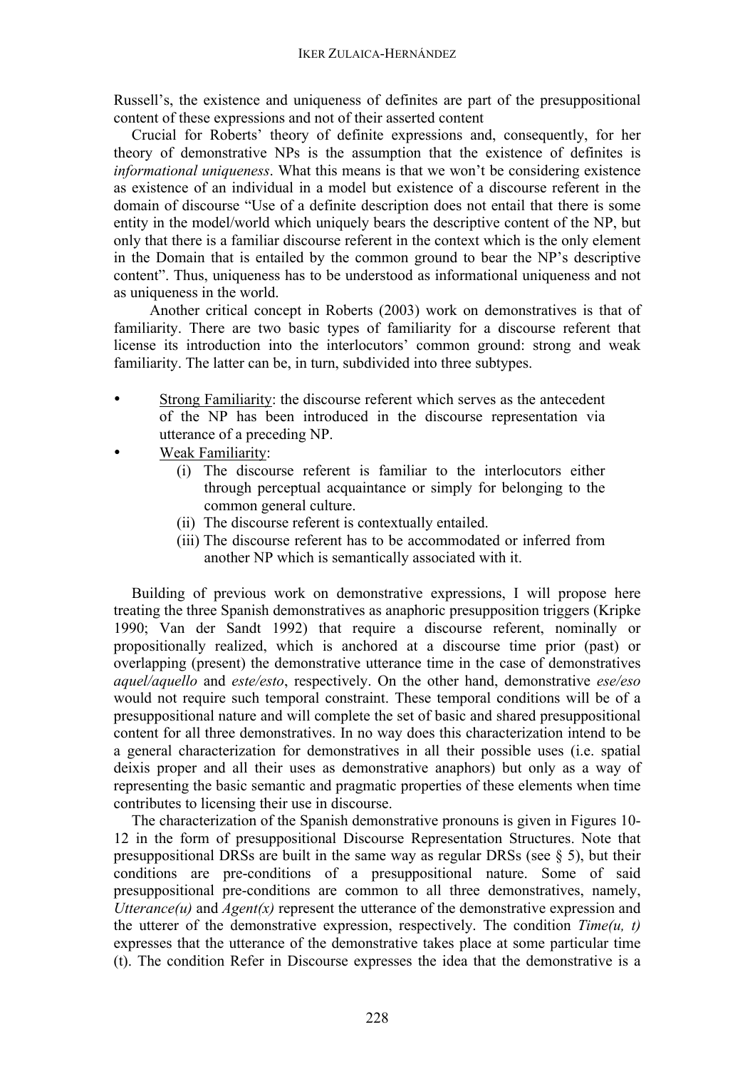Russell's, the existence and uniqueness of definites are part of the presuppositional content of these expressions and not of their asserted content

Crucial for Roberts' theory of definite expressions and, consequently, for her theory of demonstrative NPs is the assumption that the existence of definites is *informational uniqueness*. What this means is that we won't be considering existence as existence of an individual in a model but existence of a discourse referent in the domain of discourse "Use of a definite description does not entail that there is some entity in the model/world which uniquely bears the descriptive content of the NP, but only that there is a familiar discourse referent in the context which is the only element in the Domain that is entailed by the common ground to bear the NP's descriptive content". Thus, uniqueness has to be understood as informational uniqueness and not as uniqueness in the world.

Another critical concept in Roberts (2003) work on demonstratives is that of familiarity. There are two basic types of familiarity for a discourse referent that license its introduction into the interlocutors' common ground: strong and weak familiarity. The latter can be, in turn, subdivided into three subtypes.

- Strong Familiarity: the discourse referent which serves as the antecedent of the NP has been introduced in the discourse representation via utterance of a preceding NP.
- Weak Familiarity:
	- (i) The discourse referent is familiar to the interlocutors either through perceptual acquaintance or simply for belonging to the common general culture.
	- (ii) The discourse referent is contextually entailed.
	- (iii) The discourse referent has to be accommodated or inferred from another NP which is semantically associated with it.

Building of previous work on demonstrative expressions, I will propose here treating the three Spanish demonstratives as anaphoric presupposition triggers (Kripke 1990; Van der Sandt 1992) that require a discourse referent, nominally or propositionally realized, which is anchored at a discourse time prior (past) or overlapping (present) the demonstrative utterance time in the case of demonstratives *aquel/aquello* and *este/esto*, respectively. On the other hand, demonstrative *ese/eso* would not require such temporal constraint. These temporal conditions will be of a presuppositional nature and will complete the set of basic and shared presuppositional content for all three demonstratives. In no way does this characterization intend to be a general characterization for demonstratives in all their possible uses (i.e. spatial deixis proper and all their uses as demonstrative anaphors) but only as a way of representing the basic semantic and pragmatic properties of these elements when time contributes to licensing their use in discourse.

The characterization of the Spanish demonstrative pronouns is given in Figures 10- 12 in the form of presuppositional Discourse Representation Structures. Note that presuppositional DRSs are built in the same way as regular DRSs (see  $\S$  5), but their conditions are pre-conditions of a presuppositional nature. Some of said presuppositional pre-conditions are common to all three demonstratives, namely, *Utterance(u)* and *Agent(x)* represent the utterance of the demonstrative expression and the utterer of the demonstrative expression, respectively. The condition *Time(u, t)* expresses that the utterance of the demonstrative takes place at some particular time (t). The condition Refer in Discourse expresses the idea that the demonstrative is a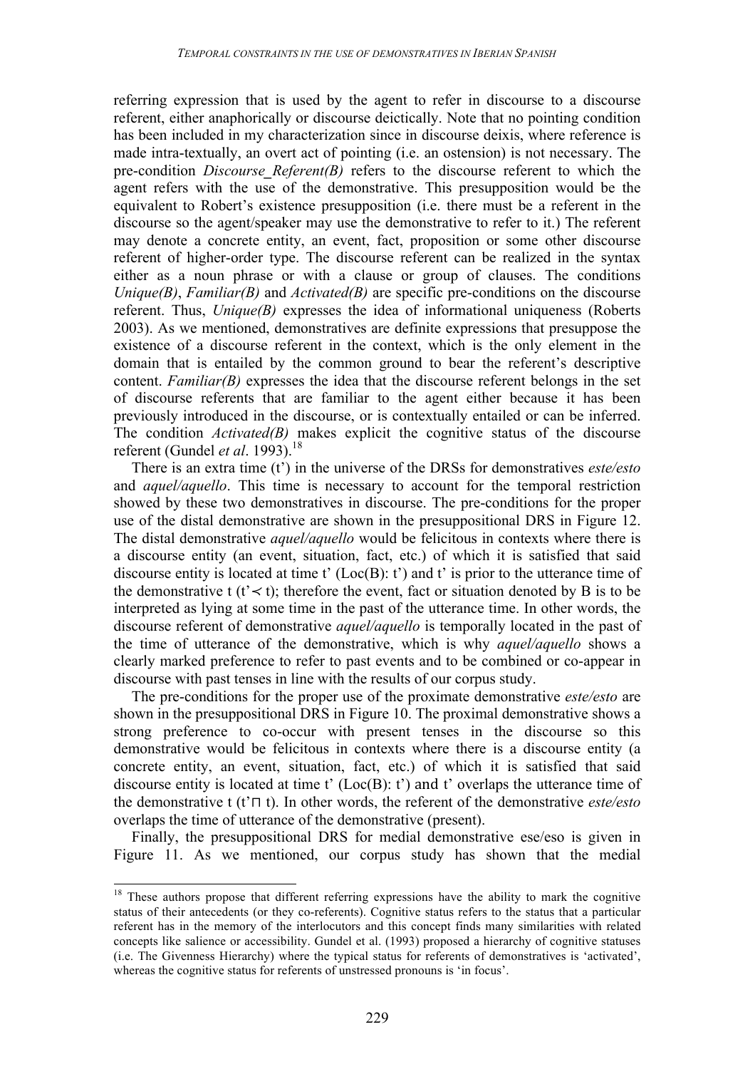referring expression that is used by the agent to refer in discourse to a discourse referent, either anaphorically or discourse deictically. Note that no pointing condition has been included in my characterization since in discourse deixis, where reference is made intra-textually, an overt act of pointing (i.e. an ostension) is not necessary. The pre-condition *Discourse Referent(B)* refers to the discourse referent to which the agent refers with the use of the demonstrative. This presupposition would be the equivalent to Robert's existence presupposition (i.e. there must be a referent in the discourse so the agent/speaker may use the demonstrative to refer to it.) The referent may denote a concrete entity, an event, fact, proposition or some other discourse referent of higher-order type. The discourse referent can be realized in the syntax either as a noun phrase or with a clause or group of clauses. The conditions *Unique(B)*, *Familiar(B)* and *Activated(B)* are specific pre-conditions on the discourse referent. Thus, *Unique(B)* expresses the idea of informational uniqueness (Roberts 2003). As we mentioned, demonstratives are definite expressions that presuppose the existence of a discourse referent in the context, which is the only element in the domain that is entailed by the common ground to bear the referent's descriptive content. *Familiar(B)* expresses the idea that the discourse referent belongs in the set of discourse referents that are familiar to the agent either because it has been previously introduced in the discourse, or is contextually entailed or can be inferred. The condition *Activated(B)* makes explicit the cognitive status of the discourse referent (Gundel *et al*. 1993).<sup>18</sup>

There is an extra time (t') in the universe of the DRSs for demonstratives *este/esto* and *aquel/aquello*. This time is necessary to account for the temporal restriction showed by these two demonstratives in discourse. The pre-conditions for the proper use of the distal demonstrative are shown in the presuppositional DRS in Figure 12. The distal demonstrative *aquel/aquello* would be felicitous in contexts where there is a discourse entity (an event, situation, fact, etc.) of which it is satisfied that said discourse entity is located at time t'  $(Loc(B): t')$  and t' is prior to the utterance time of the demonstrative t (t'  $\lt t$ ); therefore the event, fact or situation denoted by B is to be interpreted as lying at some time in the past of the utterance time. In other words, the discourse referent of demonstrative *aquel/aquello* is temporally located in the past of the time of utterance of the demonstrative, which is why *aquel/aquello* shows a clearly marked preference to refer to past events and to be combined or co-appear in discourse with past tenses in line with the results of our corpus study.

The pre-conditions for the proper use of the proximate demonstrative *este/esto* are shown in the presuppositional DRS in Figure 10. The proximal demonstrative shows a strong preference to co-occur with present tenses in the discourse so this demonstrative would be felicitous in contexts where there is a discourse entity (a concrete entity, an event, situation, fact, etc.) of which it is satisfied that said discourse entity is located at time t'  $(Loc(B): t')$  and t' overlaps the utterance time of the demonstrative t (t'⊓ t). In other words, the referent of the demonstrative *este/esto* overlaps the time of utterance of the demonstrative (present).

Finally, the presuppositional DRS for medial demonstrative ese/eso is given in Figure 11. As we mentioned, our corpus study has shown that the medial

<sup>&</sup>lt;sup>18</sup> These authors propose that different referring expressions have the ability to mark the cognitive status of their antecedents (or they co-referents). Cognitive status refers to the status that a particular referent has in the memory of the interlocutors and this concept finds many similarities with related concepts like salience or accessibility. Gundel et al. (1993) proposed a hierarchy of cognitive statuses (i.e. The Givenness Hierarchy) where the typical status for referents of demonstratives is 'activated', whereas the cognitive status for referents of unstressed pronouns is 'in focus'.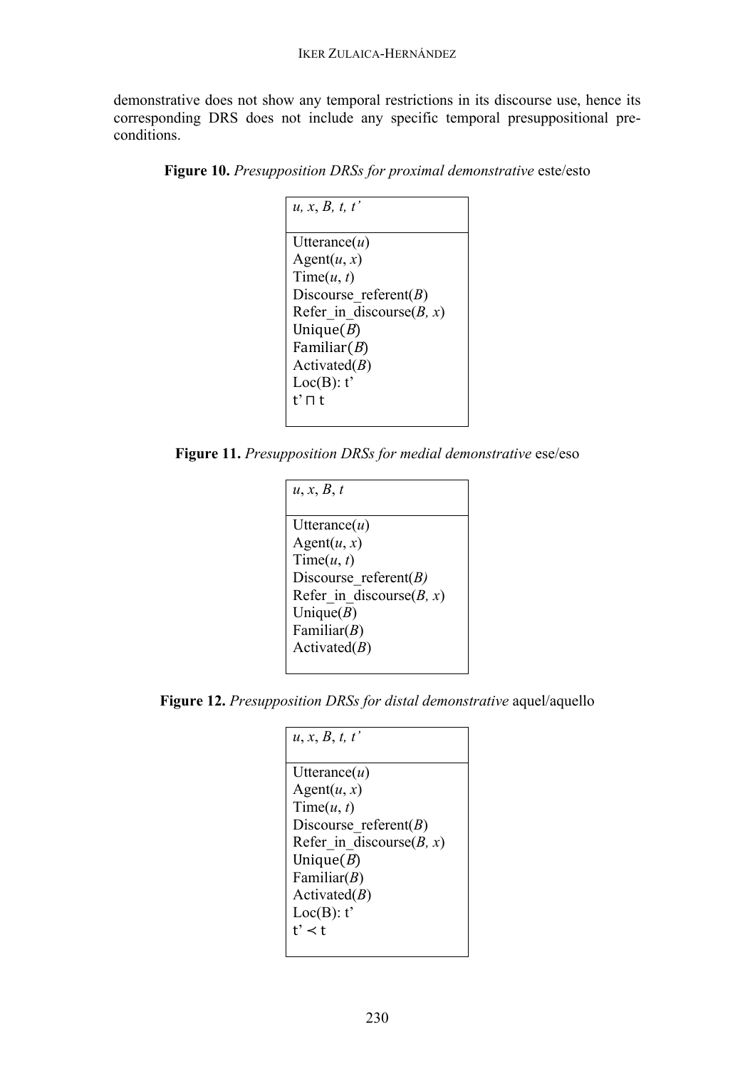demonstrative does not show any temporal restrictions in its discourse use, hence its corresponding DRS does not include any specific temporal presuppositional preconditions.

| u, x, B, t, t'              |
|-----------------------------|
| Utterance $(u)$             |
| Agent $(u, x)$              |
| Time(u, t)                  |
| Discourse referent $(B)$    |
| Refer in discourse $(B, x)$ |
| Unique $(B)$                |
| Familiar $(B)$              |
| Activated $(B)$             |
| Loc(B): t'                  |
| t' ⊓ t                      |
|                             |

**Figure 10.** *Presupposition DRSs for proximal demonstrative* este/esto

**Figure 11.** *Presupposition DRSs for medial demonstrative* ese/eso

| u, x, B, t                  |
|-----------------------------|
|                             |
| Utterance $(u)$             |
| Agent $(u, x)$              |
| Time(u, t)                  |
| Discourse referent $(B)$    |
| Refer in discourse $(B, x)$ |
| Unique $(B)$                |
| Familiar $(B)$              |
| Activated $(B)$             |
|                             |

**Figure 12.** *Presupposition DRSs for distal demonstrative* aquel/aquello

| u, x, B, t, t'              |
|-----------------------------|
|                             |
| Utterance $(u)$             |
| Agent $(u, x)$              |
| Time(u, t)                  |
| Discourse referent $(B)$    |
| Refer in discourse $(B, x)$ |
| Unique $(B)$                |
| Familiar $(B)$              |
| Activated $(B)$             |
| Loc(B): t'                  |
| $t' \prec t$                |
|                             |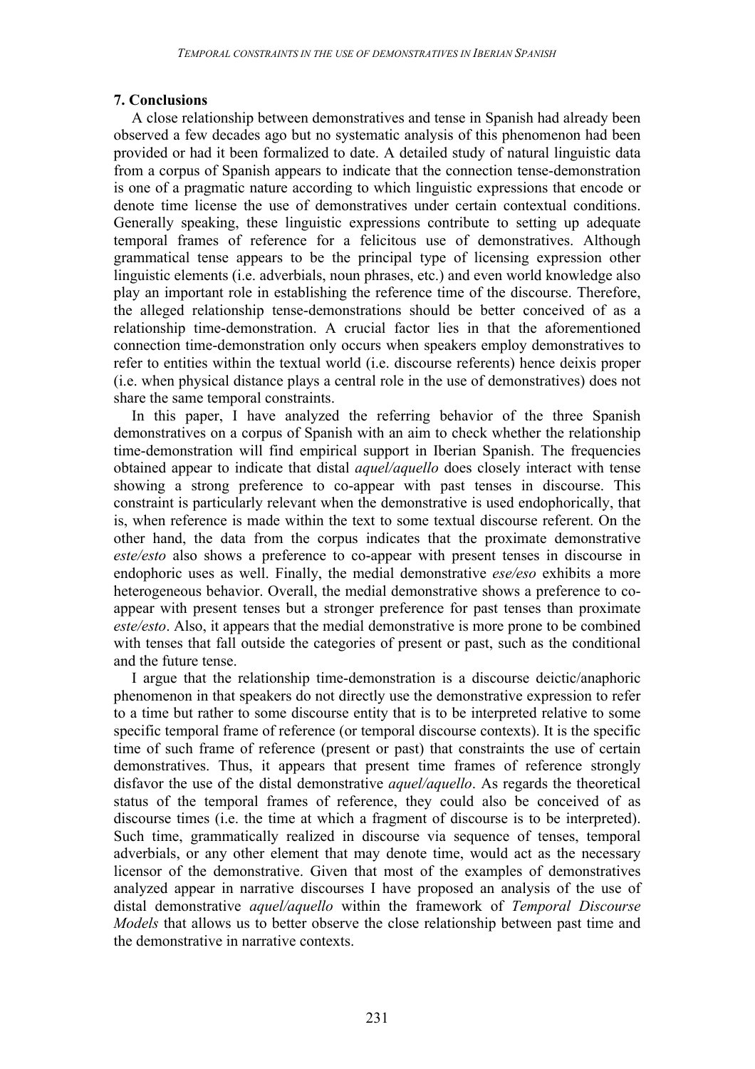# **7. Conclusions**

A close relationship between demonstratives and tense in Spanish had already been observed a few decades ago but no systematic analysis of this phenomenon had been provided or had it been formalized to date. A detailed study of natural linguistic data from a corpus of Spanish appears to indicate that the connection tense-demonstration is one of a pragmatic nature according to which linguistic expressions that encode or denote time license the use of demonstratives under certain contextual conditions. Generally speaking, these linguistic expressions contribute to setting up adequate temporal frames of reference for a felicitous use of demonstratives. Although grammatical tense appears to be the principal type of licensing expression other linguistic elements (i.e. adverbials, noun phrases, etc.) and even world knowledge also play an important role in establishing the reference time of the discourse. Therefore, the alleged relationship tense-demonstrations should be better conceived of as a relationship time-demonstration. A crucial factor lies in that the aforementioned connection time-demonstration only occurs when speakers employ demonstratives to refer to entities within the textual world (i.e. discourse referents) hence deixis proper (i.e. when physical distance plays a central role in the use of demonstratives) does not share the same temporal constraints.

In this paper, I have analyzed the referring behavior of the three Spanish demonstratives on a corpus of Spanish with an aim to check whether the relationship time-demonstration will find empirical support in Iberian Spanish. The frequencies obtained appear to indicate that distal *aquel/aquello* does closely interact with tense showing a strong preference to co-appear with past tenses in discourse. This constraint is particularly relevant when the demonstrative is used endophorically, that is, when reference is made within the text to some textual discourse referent. On the other hand, the data from the corpus indicates that the proximate demonstrative *este/esto* also shows a preference to co-appear with present tenses in discourse in endophoric uses as well. Finally, the medial demonstrative *ese/eso* exhibits a more heterogeneous behavior. Overall, the medial demonstrative shows a preference to coappear with present tenses but a stronger preference for past tenses than proximate *este/esto*. Also, it appears that the medial demonstrative is more prone to be combined with tenses that fall outside the categories of present or past, such as the conditional and the future tense.

I argue that the relationship time-demonstration is a discourse deictic/anaphoric phenomenon in that speakers do not directly use the demonstrative expression to refer to a time but rather to some discourse entity that is to be interpreted relative to some specific temporal frame of reference (or temporal discourse contexts). It is the specific time of such frame of reference (present or past) that constraints the use of certain demonstratives. Thus, it appears that present time frames of reference strongly disfavor the use of the distal demonstrative *aquel/aquello*. As regards the theoretical status of the temporal frames of reference, they could also be conceived of as discourse times (i.e. the time at which a fragment of discourse is to be interpreted). Such time, grammatically realized in discourse via sequence of tenses, temporal adverbials, or any other element that may denote time, would act as the necessary licensor of the demonstrative. Given that most of the examples of demonstratives analyzed appear in narrative discourses I have proposed an analysis of the use of distal demonstrative *aquel/aquello* within the framework of *Temporal Discourse Models* that allows us to better observe the close relationship between past time and the demonstrative in narrative contexts.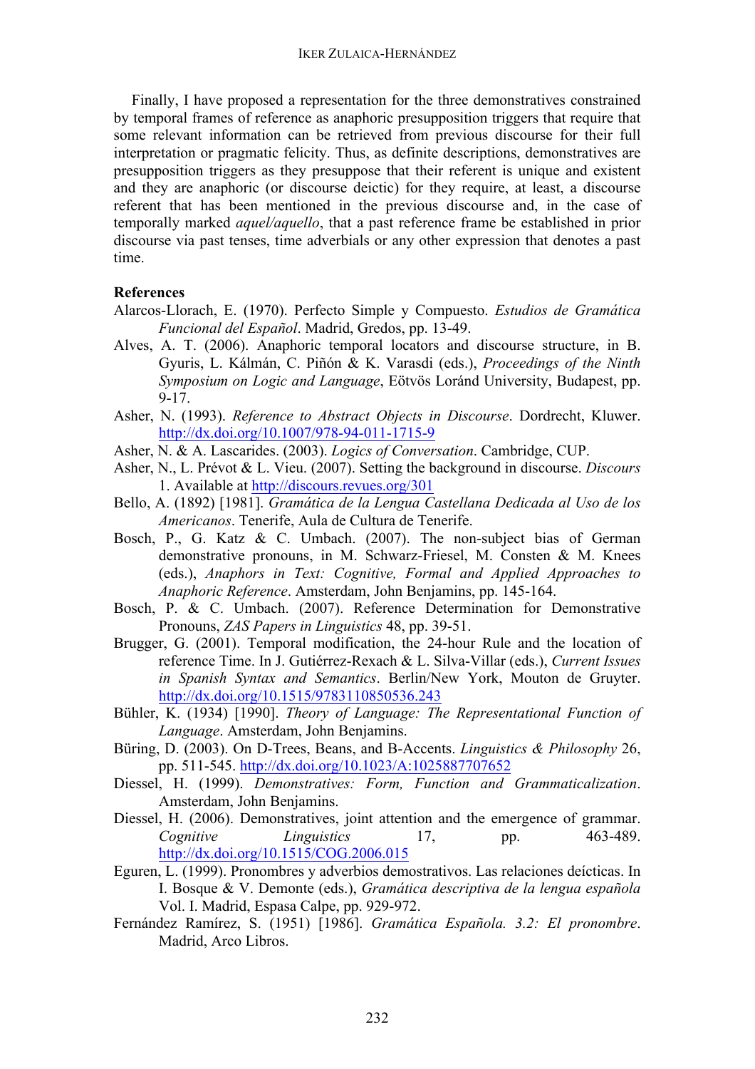Finally, I have proposed a representation for the three demonstratives constrained by temporal frames of reference as anaphoric presupposition triggers that require that some relevant information can be retrieved from previous discourse for their full interpretation or pragmatic felicity. Thus, as definite descriptions, demonstratives are presupposition triggers as they presuppose that their referent is unique and existent and they are anaphoric (or discourse deictic) for they require, at least, a discourse referent that has been mentioned in the previous discourse and, in the case of temporally marked *aquel/aquello*, that a past reference frame be established in prior discourse via past tenses, time adverbials or any other expression that denotes a past time.

### **References**

- Alarcos-Llorach, E. (1970). Perfecto Simple y Compuesto. *Estudios de Gramática Funcional del Español*. Madrid, Gredos, pp. 13-49.
- Alves, A. T. (2006). Anaphoric temporal locators and discourse structure, in B. Gyuris, L. Kálmán, C. Piñón & K. Varasdi (eds.), *Proceedings of the Ninth Symposium on Logic and Language*, Eötvös Loránd University, Budapest, pp. 9-17.
- Asher, N. (1993). *Reference to Abstract Objects in Discourse*. Dordrecht, Kluwer. http://dx.doi.org/10.1007/978-94-011-1715-9
- Asher, N. & A. Lascarides. (2003). *Logics of Conversation*. Cambridge, CUP.
- Asher, N., L. Prévot & L. Vieu. (2007). Setting the background in discourse. *Discours* 1. Available at http://discours.revues.org/301
- Bello, A. (1892) [1981]. *Gramática de la Lengua Castellana Dedicada al Uso de los Americanos*. Tenerife, Aula de Cultura de Tenerife.
- Bosch, P., G. Katz & C. Umbach. (2007). The non-subject bias of German demonstrative pronouns, in M. Schwarz-Friesel, M. Consten & M. Knees (eds.), *Anaphors in Text: Cognitive, Formal and Applied Approaches to Anaphoric Reference*. Amsterdam, John Benjamins, pp. 145-164.
- Bosch, P. & C. Umbach. (2007). Reference Determination for Demonstrative Pronouns, *ZAS Papers in Linguistics* 48, pp. 39-51.
- Brugger, G. (2001). Temporal modification, the 24-hour Rule and the location of reference Time. In J. Gutiérrez-Rexach & L. Silva-Villar (eds.), *Current Issues in Spanish Syntax and Semantics*. Berlin/New York, Mouton de Gruyter. http://dx.doi.org/10.1515/9783110850536.243
- Bühler, K. (1934) [1990]. *Theory of Language: The Representational Function of Language*. Amsterdam, John Benjamins.
- Büring, D. (2003). On D-Trees, Beans, and B-Accents. *Linguistics & Philosophy* 26, pp. 511-545. http://dx.doi.org/10.1023/A:1025887707652
- Diessel, H. (1999). *Demonstratives: Form, Function and Grammaticalization*. Amsterdam, John Benjamins.
- Diessel, H. (2006). Demonstratives, joint attention and the emergence of grammar. *Cognitive Linguistics* 17, pp. 463-489. http://dx.doi.org/10.1515/COG.2006.015
- Eguren, L. (1999). Pronombres y adverbios demostrativos. Las relaciones deícticas. In I. Bosque & V. Demonte (eds.), *Gramática descriptiva de la lengua española* Vol. I. Madrid, Espasa Calpe, pp. 929-972.
- Fernández Ramírez, S. (1951) [1986]. *Gramática Española. 3.2: El pronombre*. Madrid, Arco Libros.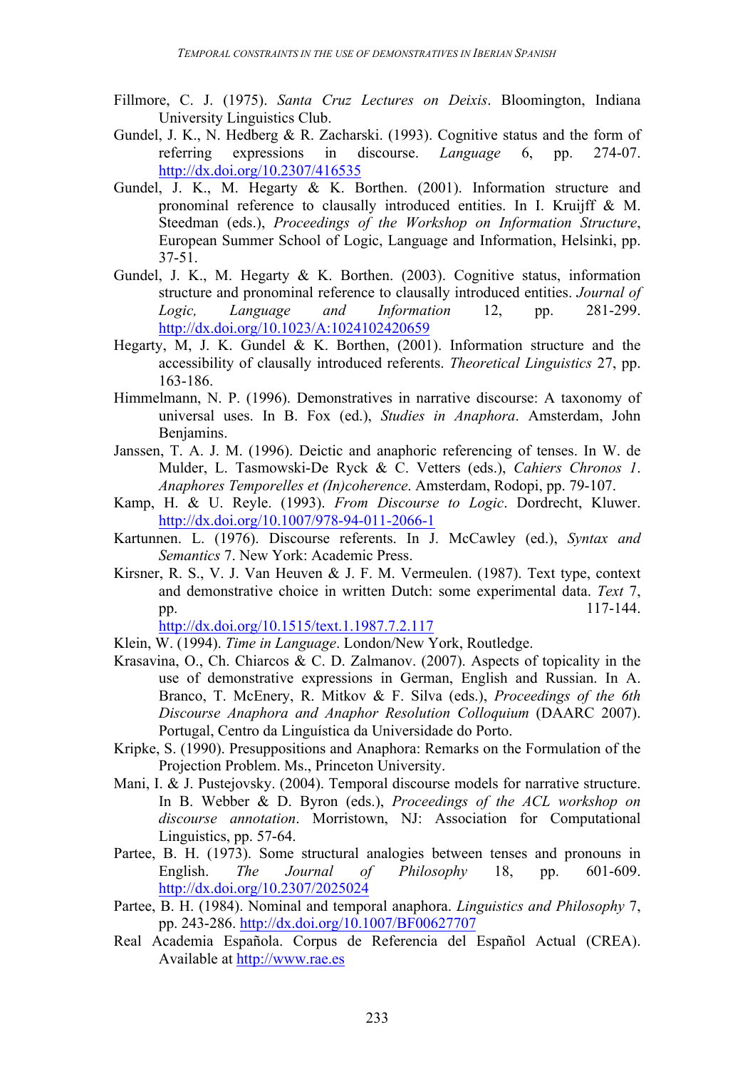- Fillmore, C. J. (1975). *Santa Cruz Lectures on Deixis*. Bloomington, Indiana University Linguistics Club.
- Gundel, J. K., N. Hedberg & R. Zacharski. (1993). Cognitive status and the form of referring expressions in discourse. *Language* 6, pp. 274-07. http://dx.doi.org/10.2307/416535
- Gundel, J. K., M. Hegarty & K. Borthen. (2001). Information structure and pronominal reference to clausally introduced entities. In I. Kruijff & M. Steedman (eds.), *Proceedings of the Workshop on Information Structure*, European Summer School of Logic, Language and Information, Helsinki, pp. 37-51.
- Gundel, J. K., M. Hegarty & K. Borthen. (2003). Cognitive status, information structure and pronominal reference to clausally introduced entities. *Journal of Logic, Language and Information* 12, pp. 281-299. http://dx.doi.org/10.1023/A:1024102420659
- Hegarty, M, J. K. Gundel & K. Borthen, (2001). Information structure and the accessibility of clausally introduced referents. *Theoretical Linguistics* 27, pp. 163-186.
- Himmelmann, N. P. (1996). Demonstratives in narrative discourse: A taxonomy of universal uses. In B. Fox (ed.), *Studies in Anaphora*. Amsterdam, John Benjamins.
- Janssen, T. A. J. M. (1996). Deictic and anaphoric referencing of tenses. In W. de Mulder, L. Tasmowski-De Ryck & C. Vetters (eds.), *Cahiers Chronos 1*. *Anaphores Temporelles et (In)coherence*. Amsterdam, Rodopi, pp. 79-107.
- Kamp, H. & U. Reyle. (1993). *From Discourse to Logic*. Dordrecht, Kluwer. http://dx.doi.org/10.1007/978-94-011-2066-1
- Kartunnen. L. (1976). Discourse referents. In J. McCawley (ed.), *Syntax and Semantics* 7. New York: Academic Press.
- Kirsner, R. S., V. J. Van Heuven & J. F. M. Vermeulen. (1987). Text type, context and demonstrative choice in written Dutch: some experimental data. *Text* 7, pp. 117-144.

http://dx.doi.org/10.1515/text.1.1987.7.2.117

- Klein, W. (1994). *Time in Language*. London/New York, Routledge.
- Krasavina, O., Ch. Chiarcos & C. D. Zalmanov. (2007). Aspects of topicality in the use of demonstrative expressions in German, English and Russian. In A. Branco, T. McEnery, R. Mitkov & F. Silva (eds.), *Proceedings of the 6th Discourse Anaphora and Anaphor Resolution Colloquium* (DAARC 2007). Portugal, Centro da Linguística da Universidade do Porto.
- Kripke, S. (1990). Presuppositions and Anaphora: Remarks on the Formulation of the Projection Problem. Ms., Princeton University.
- Mani, I. & J. Pustejovsky. (2004). Temporal discourse models for narrative structure. In B. Webber & D. Byron (eds.), *Proceedings of the ACL workshop on discourse annotation*. Morristown, NJ: Association for Computational Linguistics, pp. 57-64.
- Partee, B. H. (1973). Some structural analogies between tenses and pronouns in English. *The Journal of Philosophy* 18, pp. 601-609. http://dx.doi.org/10.2307/2025024
- Partee, B. H. (1984). Nominal and temporal anaphora. *Linguistics and Philosophy* 7, pp. 243-286. http://dx.doi.org/10.1007/BF00627707
- Real Academia Española. Corpus de Referencia del Español Actual (CREA). Available at http://www.rae.es